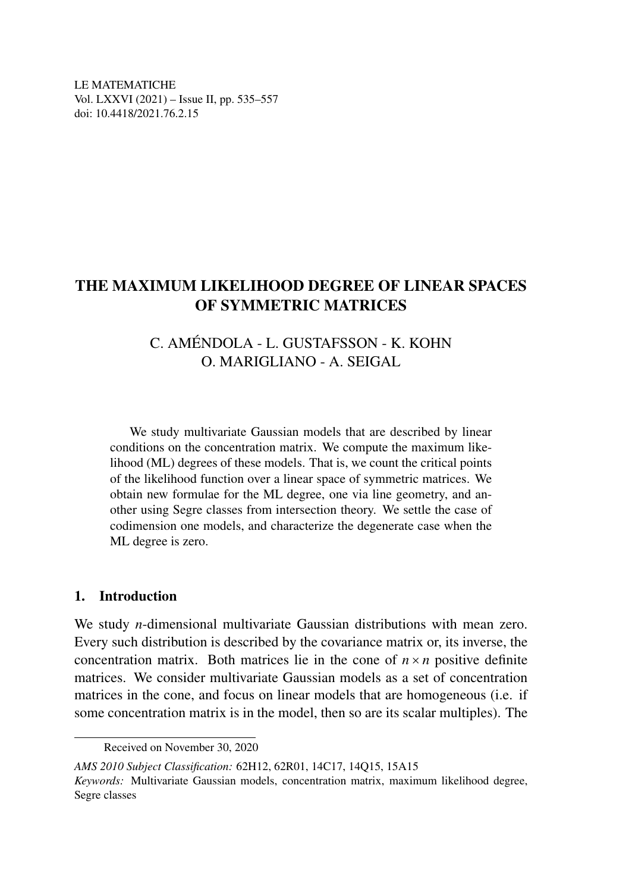LE MATEMATICHE Vol. LXXVI (2021) – Issue II, pp. 535–557 doi: 10.4418/2021.76.2.15

## THE MAXIMUM LIKELIHOOD DEGREE OF LINEAR SPACES OF SYMMETRIC MATRICES

## C. AMENDOLA - L. GUSTAFSSON - K. KOHN ´ O. MARIGLIANO - A. SEIGAL

We study multivariate Gaussian models that are described by linear conditions on the concentration matrix. We compute the maximum likelihood (ML) degrees of these models. That is, we count the critical points of the likelihood function over a linear space of symmetric matrices. We obtain new formulae for the ML degree, one via line geometry, and another using Segre classes from intersection theory. We settle the case of codimension one models, and characterize the degenerate case when the ML degree is zero.

### 1. Introduction

We study *n*-dimensional multivariate Gaussian distributions with mean zero. Every such distribution is described by the covariance matrix or, its inverse, the concentration matrix. Both matrices lie in the cone of  $n \times n$  positive definite matrices. We consider multivariate Gaussian models as a set of concentration matrices in the cone, and focus on linear models that are homogeneous (i.e. if some concentration matrix is in the model, then so are its scalar multiples). The

*AMS 2010 Subject Classification:* 62H12, 62R01, 14C17, 14Q15, 15A15 *Keywords:* Multivariate Gaussian models, concentration matrix, maximum likelihood degree, Segre classes

Received on November 30, 2020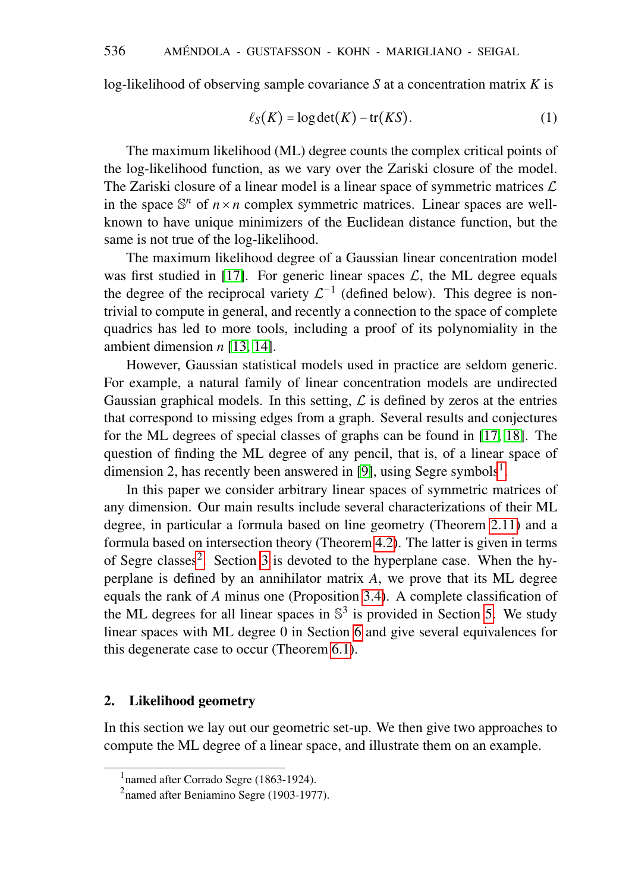log-likelihood of observing sample covariance *S* at a concentration matrix *K* is

<span id="page-1-2"></span>
$$
\ell_S(K) = \log \det(K) - \text{tr}(KS). \tag{1}
$$

The maximum likelihood (ML) degree counts the complex critical points of the log-likelihood function, as we vary over the Zariski closure of the model. The Zariski closure of a linear model is a linear space of symmetric matrices  $\mathcal L$ in the space  $\mathbb{S}^n$  of  $n \times n$  complex symmetric matrices. Linear spaces are wellknown to have unique minimizers of the Euclidean distance function, but the same is not true of the log-likelihood.

The maximum likelihood degree of a Gaussian linear concentration model was first studied in [\[17\]](#page-22-0). For generic linear spaces  $\mathcal{L}$ , the ML degree equals the degree of the reciprocal variety  $\mathcal{L}^{-1}$  (defined below). This degree is nontrivial to compute in general, and recently a connection to the space of complete quadrics has led to more tools, including a proof of its polynomiality in the ambient dimension *n* [\[13,](#page-22-1) [14\]](#page-22-2).

However, Gaussian statistical models used in practice are seldom generic. For example, a natural family of linear concentration models are undirected Gaussian graphical models. In this setting,  $\mathcal L$  is defined by zeros at the entries that correspond to missing edges from a graph. Several results and conjectures for the ML degrees of special classes of graphs can be found in [\[17,](#page-22-0) [18\]](#page-22-3). The question of finding the ML degree of any pencil, that is, of a linear space of dimension 2, has recently been answered in [\[9\]](#page-21-0), using Segre symbols<sup>[1](#page-1-0)</sup>.

In this paper we consider arbitrary linear spaces of symmetric matrices of any dimension. Our main results include several characterizations of their ML degree, in particular a formula based on line geometry (Theorem [2.11\)](#page-6-0) and a formula based on intersection theory (Theorem [4.2\)](#page-13-0). The latter is given in terms of Segre classes<sup>[2](#page-1-1)</sup>. Section [3](#page-7-0) is devoted to the hyperplane case. When the hyperplane is defined by an annihilator matrix *A*, we prove that its ML degree equals the rank of *A* minus one (Proposition [3.4\)](#page-9-0). A complete classification of the ML degrees for all linear spaces in  $\mathbb{S}^3$  is provided in Section [5.](#page-16-0) We study linear spaces with ML degree 0 in Section [6](#page-17-0) and give several equivalences for this degenerate case to occur (Theorem [6.1\)](#page-18-0).

### 2. Likelihood geometry

In this section we lay out our geometric set-up. We then give two approaches to compute the ML degree of a linear space, and illustrate them on an example.

<span id="page-1-0"></span><sup>&</sup>lt;sup>1</sup> named after Corrado Segre (1863-1924).

<span id="page-1-1"></span><sup>&</sup>lt;sup>2</sup>named after Beniamino Segre (1903-1977).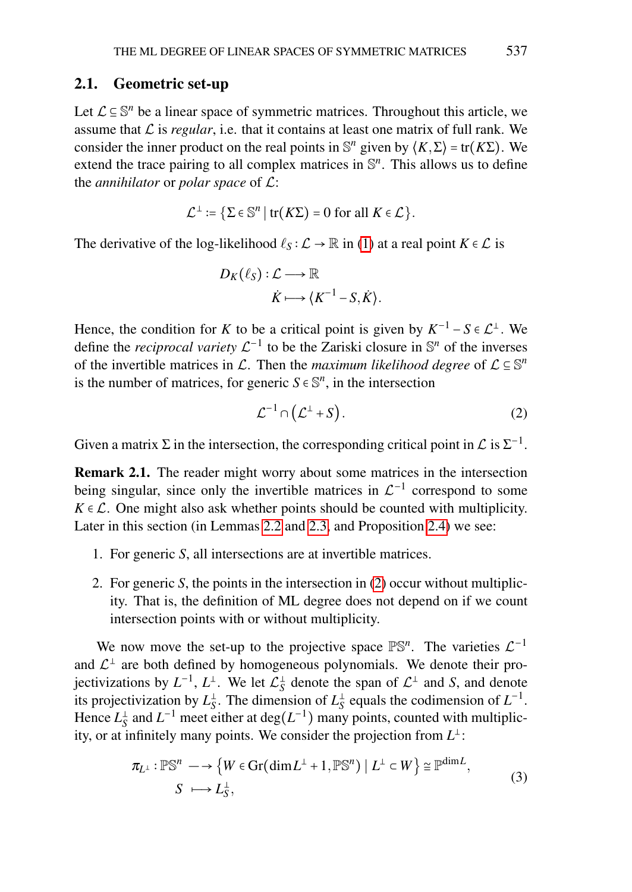### <span id="page-2-1"></span>2.1. Geometric set-up

Let  $\mathcal{L} \subseteq \mathbb{S}^n$  be a linear space of symmetric matrices. Throughout this article, we assume that  $\mathcal L$  is *regular*, i.e. that it contains at least one matrix of full rank. We consider the inner product on the real points in  $\mathbb{S}^n$  given by  $\langle K, \Sigma \rangle = \text{tr}(K\Sigma)$ . We extend the trace pairing to all complex matrices in  $\mathbb{S}^n$ . This allows us to define the *annihilator* or *polar space* of L:

$$
\mathcal{L}^{\perp} := \{ \Sigma \in \mathbb{S}^n \mid \text{tr}(K\Sigma) = 0 \text{ for all } K \in \mathcal{L} \}.
$$

The derivative of the log-likelihood  $\ell_S : L \to \mathbb{R}$  in [\(1\)](#page-1-2) at a real point  $K \in L$  is

$$
D_K(\ell_S): \mathcal{L} \longrightarrow \mathbb{R}
$$
  

$$
\dot{K} \longmapsto \langle K^{-1} - S, \dot{K} \rangle.
$$

Hence, the condition for *K* to be a critical point is given by  $K^{-1} - S \in \mathcal{L}^{\perp}$ . We define the *reciprocal variety*  $\mathcal{L}^{-1}$  to be the Zariski closure in  $\mathbb{S}^n$  of the inverses of the invertible matrices in  $\mathcal{L}$ . Then the *maximum likelihood degree* of  $\mathcal{L} \subseteq \mathbb{S}^n$ is the number of matrices, for generic  $S \in \mathbb{S}^n$ , in the intersection

<span id="page-2-0"></span>
$$
\mathcal{L}^{-1} \cap \left( \mathcal{L}^{\perp} + S \right). \tag{2}
$$

Given a matrix  $\Sigma$  in the intersection, the corresponding critical point in  $\mathcal L$  is  $\Sigma^{-1}$ .

Remark 2.1. The reader might worry about some matrices in the intersection being singular, since only the invertible matrices in  $\mathcal{L}^{-1}$  correspond to some  $K \in \mathcal{L}$ . One might also ask whether points should be counted with multiplicity. Later in this section (in Lemmas [2.2](#page-3-0) and [2.3,](#page-3-1) and Proposition [2.4\)](#page-3-2) we see:

- 1. For generic *S*, all intersections are at invertible matrices.
- 2. For generic *S*, the points in the intersection in [\(2\)](#page-2-0) occur without multiplicity. That is, the definition of ML degree does not depend on if we count intersection points with or without multiplicity.

We now move the set-up to the projective space  $\mathbb{PS}^n$ . The varieties  $\mathcal{L}^{-1}$ and  $\mathcal{L}^{\perp}$  are both defined by homogeneous polynomials. We denote their projectivizations by  $L^{-1}$ ,  $L^{\perp}$ . We let  $\mathcal{L}_S^{\perp}$  denote the span of  $\mathcal{L}^{\perp}$  and *S*, and denote its projectivization by  $L_S^{\perp}$ . The dimension of  $L_S^{\perp}$  equals the codimension of  $L^{-1}$ . Hence  $L_S^{\perp}$  and  $L^{-1}$  meet either at  $deg(L^{-1})$  many points, counted with multiplicity, or at infinitely many points. We consider the projection from  $L^{\perp}$ :

<span id="page-2-2"></span>
$$
\pi_{L^{\perp}} : \mathbb{PS}^n \longrightarrow \left\{ W \in \text{Gr}(\text{dim}\,L^{\perp} + 1, \mathbb{PS}^n) \mid L^{\perp} \subset W \right\} \cong \mathbb{P}^{\text{dim}\,L},
$$
\n
$$
S \longmapsto L_S^{\perp},
$$
\n(3)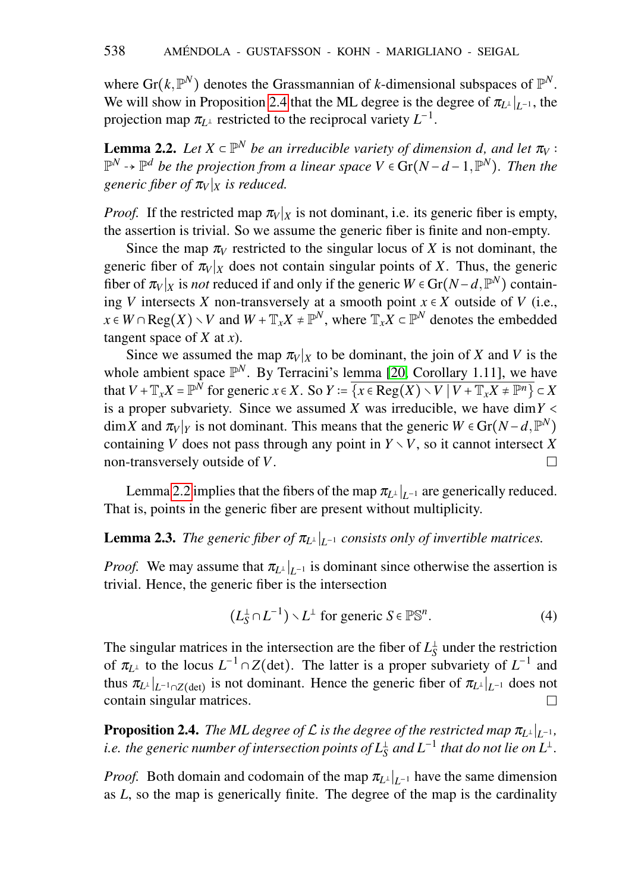where  $\text{Gr}(k, \mathbb{P}^N)$  denotes the Grassmannian of *k*-dimensional subspaces of  $\mathbb{P}^N$ . We will show in Proposition [2.4](#page-3-2) that the ML degree is the degree of  $\pi_{L^{\perp}}|_{L^{-1}}$ , the projection map  $\pi_{L^{\perp}}$  restricted to the reciprocal variety  $L^{-1}$ .

<span id="page-3-0"></span>**Lemma 2.2.** Let  $X \subset \mathbb{P}^N$  be an irreducible variety of dimension d, and let  $\pi_V$ : P *<sup>N</sup>* ⇢ P *d be the projection from a linear space V* ∈ Gr(*N* −*d* −1,P *N* )*. Then the generic fiber of*  $\pi_V$ <sup>*x*</sup> *is reduced.* 

*Proof.* If the restricted map  $\pi_V|_X$  is not dominant, i.e. its generic fiber is empty, the assertion is trivial. So we assume the generic fiber is finite and non-empty.

Since the map  $\pi_V$  restricted to the singular locus of X is not dominant, the generic fiber of  $\pi_V|_X$  does not contain singular points of *X*. Thus, the generic fiber of  $\pi_V|_X$  is *not* reduced if and only if the generic  $W \in \text{Gr}(N-d, \mathbb{P}^N)$  containing *V* intersects *X* non-transversely at a smooth point  $x \in X$  outside of *V* (i.e., *x* ∈ *W* ∩ Reg(*X*)  $\setminus$ *V* and *W* +  $\mathbb{T}_x X$  ≠  $\mathbb{P}^N$ , where  $\mathbb{T}_x X \subset \mathbb{P}^N$  denotes the embedded tangent space of *X* at *x*).

Since we assumed the map  $\pi_V|_X$  to be dominant, the join of *X* and *V* is the whole ambient space  $\mathbb{P}^N$ . By Terracini's lemma [\[20,](#page-22-4) Corollary 1.11], we have that  $V + \mathbb{T}_x X = \mathbb{P}^N$  for generic  $x \in X$ . So  $Y = \overline{\{x \in \text{Reg}(X) \setminus V \mid V + \mathbb{T}_x X \neq \mathbb{P}^n\}} \subset X$ is a proper subvariety. Since we assumed *X* was irreducible, we have dim  $Y \leq Y$  $\dim X$  and  $\pi_V|_Y$  is not dominant. This means that the generic  $W \in \text{Gr}(N-d, \mathbb{P}^N)$ containing *V* does not pass through any point in  $Y \setminus V$ , so it cannot intersect *X* non-transversely outside of *V*.  $\Box$ 

Lemma [2.2](#page-3-0) implies that the fibers of the map  $\pi_{L^{\perp}}|_{L^{-1}}$  are generically reduced. That is, points in the generic fiber are present without multiplicity.

# <span id="page-3-1"></span>**Lemma 2.3.** *The generic fiber of*  $\pi_{L^{\perp}}|_{L^{-1}}$  *consists only of invertible matrices.*

*Proof.* We may assume that  $\pi_{L^{\perp}}|_{L^{-1}}$  is dominant since otherwise the assertion is trivial. Hence, the generic fiber is the intersection

<span id="page-3-3"></span>
$$
(L_S^{\perp} \cap L^{-1}) \setminus L^{\perp} \text{ for generic } S \in \mathbb{PS}^n. \tag{4}
$$

The singular matrices in the intersection are the fiber of  $L_S^{\perp}$  under the restriction of  $\pi_{L^{\perp}}$  to the locus  $L^{-1} \cap Z(\text{det})$ . The latter is a proper subvariety of  $L^{-1}$  and thus  $\pi_{L^{\perp}}|_{L^{-1} \cap Z(\text{det})}$  is not dominant. Hence the generic fiber of  $\pi_{L^{\perp}}|_{L^{-1}}$  does not contain singular matrices.  $\Box$ 

<span id="page-3-2"></span>**Proposition 2.4.** *The ML degree of L* is the degree of the restricted map  $\pi_{L^\perp}|_{L^{-1}}$ , i.e. the generic number of intersection points of  $L^{\pm}_{\rm S}$  and  $L^{-1}$  that do not lie on  $L^{\pm}.$ 

*Proof.* Both domain and codomain of the map  $\pi_{L^{\perp}}|_{L^{-1}}$  have the same dimension as *L*, so the map is generically finite. The degree of the map is the cardinality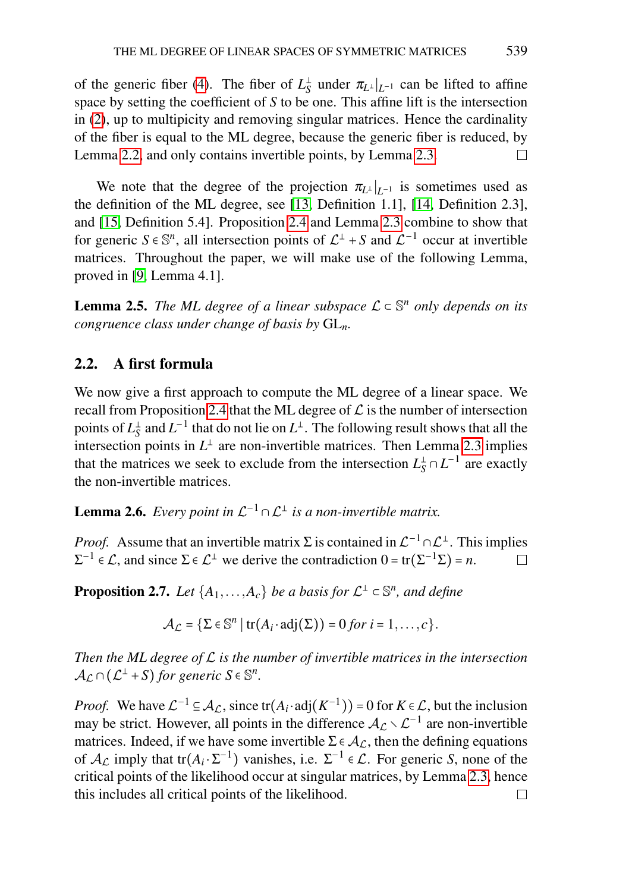of the generic fiber [\(4\)](#page-3-3). The fiber of  $L_S^{\perp}$  under  $\pi_{L^{\perp}}|_{L^{-1}}$  can be lifted to affine space by setting the coefficient of *S* to be one. This affine lift is the intersection in [\(2\)](#page-2-0), up to multipicity and removing singular matrices. Hence the cardinality of the fiber is equal to the ML degree, because the generic fiber is reduced, by Lemma [2.2,](#page-3-0) and only contains invertible points, by Lemma [2.3.](#page-3-1)  $\Box$ 

We note that the degree of the projection  $\pi_{L^{\perp}}|_{L^{-1}}$  is sometimes used as the definition of the ML degree, see [\[13,](#page-22-1) Definition 1.1], [\[14,](#page-22-2) Definition 2.3], and [\[15,](#page-22-5) Definition 5.4]. Proposition [2.4](#page-3-2) and Lemma [2.3](#page-3-1) combine to show that for generic  $S \in \mathbb{S}^n$ , all intersection points of  $\mathcal{L}^{\perp} + S$  and  $\mathcal{L}^{-1}$  occur at invertible matrices. Throughout the paper, we will make use of the following Lemma, proved in [\[9,](#page-21-0) Lemma 4.1].

<span id="page-4-1"></span>**Lemma 2.5.** The ML degree of a linear subspace  $\mathcal{L} \subset \mathbb{S}^n$  only depends on its *congruence class under change of basis by* GL*n.*

## 2.2. A first formula

We now give a first approach to compute the ML degree of a linear space. We recall from Proposition [2.4](#page-3-2) that the ML degree of  $\mathcal L$  is the number of intersection points of  $L_S^{\perp}$  and  $L^{-1}$  that do not lie on  $L^{\perp}$ . The following result shows that all the intersection points in  $L^{\perp}$  are non-invertible matrices. Then Lemma [2.3](#page-3-1) implies that the matrices we seek to exclude from the intersection  $L_S^{\perp} \cap L^{-1}$  are exactly the non-invertible matrices.

**Lemma 2.6.** *Every point in*  $\mathcal{L}^{-1} \cap \mathcal{L}^{\perp}$  *is a non-invertible matrix.* 

*Proof.* Assume that an invertible matrix  $\Sigma$  is contained in  $\mathcal{L}^{-1} \cap \mathcal{L}^{\perp}$ . This implies  $\Sigma^{-1} \in \mathcal{L}$ , and since  $\Sigma \in \mathcal{L}^{\perp}$  we derive the contradiction  $0 = \text{tr}(\Sigma^{-1}\Sigma) = n$ .  $\Box$ 

<span id="page-4-0"></span>**Proposition 2.7.** *Let*  $\{A_1, \ldots, A_c\}$  *be a basis for*  $\mathcal{L}^{\perp} \subset \mathbb{S}^n$ *, and define* 

 $\mathcal{A}_{\mathcal{L}} = {\{\Sigma \in \mathbb{S}^n \mid \text{tr}(A_i \cdot \text{adj}(\Sigma)) = 0 \text{ for } i = 1, \ldots, c\}}.$ 

*Then the ML degree of* L *is the number of invertible matrices in the intersection*  $\mathcal{A}_{\mathcal{L}} \cap (\mathcal{L}^{\perp} + S)$  *for generic*  $S \in \mathbb{S}^n$ *.* 

*Proof.* We have  $\mathcal{L}^{-1} \subseteq \mathcal{A}_{\mathcal{L}}$ , since  $tr(A_i \cdot adj(K^{-1})) = 0$  for  $K \in \mathcal{L}$ , but the inclusion may be strict. However, all points in the difference  $A_{\mathcal{L}} \setminus \mathcal{L}^{-1}$  are non-invertible matrices. Indeed, if we have some invertible  $\Sigma \in \mathcal{A}_{\mathcal{L}}$ , then the defining equations of  $A_{\mathcal{L}}$  imply that tr $(A_i \cdot \Sigma^{-1})$  vanishes, i.e.  $\Sigma^{-1} \in \mathcal{L}$ . For generic *S*, none of the critical points of the likelihood occur at singular matrices, by Lemma [2.3,](#page-3-1) hence this includes all critical points of the likelihood. $\Box$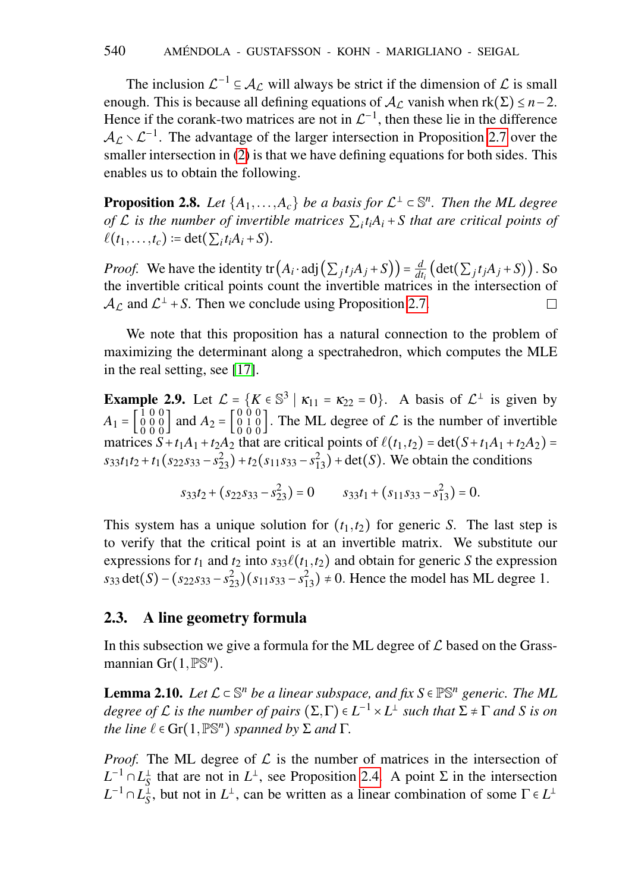The inclusion  $\mathcal{L}^{-1} \subseteq \mathcal{A}_{\mathcal{L}}$  will always be strict if the dimension of  $\mathcal{L}$  is small enough. This is because all defining equations of  $A<sub>C</sub>$  vanish when  $rk(\Sigma) \leq n-2$ . Hence if the corank-two matrices are not in  $\mathcal{L}^{-1}$ , then these lie in the difference  $A_{\mathcal{L}} \setminus \mathcal{L}^{-1}$ . The advantage of the larger intersection in Proposition [2.7](#page-4-0) over the smaller intersection in [\(2\)](#page-2-0) is that we have defining equations for both sides. This enables us to obtain the following.

**Proposition 2.8.** *Let*  $\{A_1, \ldots, A_c\}$  *be a basis for*  $\mathcal{L}^{\perp} \subset \mathbb{S}^n$ *. Then the ML degree of* L *is the number of invertible matrices* ∑*<sup>i</sup> tiA<sup>i</sup>* + *S that are critical points of*  $\ell(t_1,...,t_c) := \det(\sum_i t_i A_i + S).$ 

*Proof.* We have the identity  $tr(A_i \cdot adj(\sum_j t_j A_j + S)) = \frac{d}{dt}$  $\frac{d}{dt_i}$  (det( $\sum_j t_j A_j + S$ )). So the invertible critical points count the invertible matrices in the intersection of  $A_{\mathcal{L}}$  and  $\mathcal{L}^{\perp}$  + S. Then we conclude using Proposition [2.7.](#page-4-0)  $\Box$ 

We note that this proposition has a natural connection to the problem of maximizing the determinant along a spectrahedron, which computes the MLE in the real setting, see [\[17\]](#page-22-0).

<span id="page-5-1"></span>**Example 2.9.** Let  $\mathcal{L} = \{K \in \mathbb{S}^3 \mid \kappa_{11} = \kappa_{22} = 0\}$ . A basis of  $\mathcal{L}^{\perp}$  is given by  $A_1 = \begin{bmatrix} 1 & 0 & 0 \\ 0 & 0 & 0 \\ 0 & 0 & 0 \end{bmatrix}$  and  $A_2 = \begin{bmatrix} 0 & 0 & 0 \\ 0 & 1 & 0 \\ 0 & 0 & 0 \end{bmatrix}$ . The ML degree of  $\mathcal L$  is the number of invertible matrices  $S + t_1 A_1 + t_2 A_2$  that are critical points of  $\ell(t_1, t_2) = \det(S + t_1 A_1 + t_2 A_2) =$  $s_3 s_1 t_2 + t_1 (s_2 s_3 s - s_2^2) + t_2 (s_1 s_3 s - s_1^2) + \det(S)$ . We obtain the conditions

$$
s_{33}t_2 + (s_{22}s_{33} - s_{23}^2) = 0 \t s_{33}t_1 + (s_{11}s_{33} - s_{13}^2) = 0.
$$

This system has a unique solution for  $(t_1, t_2)$  for generic *S*. The last step is to verify that the critical point is at an invertible matrix. We substitute our expressions for  $t_1$  and  $t_2$  into  $s_{33}\ell(t_1,t_2)$  and obtain for generic *S* the expression  $s_{33}$  det(*S*) – ( $s_{22}s_{33} - s_{23}^2$ )( $s_{11}s_{33} - s_{13}^2$ ) ≠ 0. Hence the model has ML degree 1.

### <span id="page-5-2"></span>2.3. A line geometry formula

In this subsection we give a formula for the ML degree of  $\mathcal L$  based on the Grassmannian Gr(1,PS*<sup>n</sup>* ).

<span id="page-5-0"></span>**Lemma 2.10.** Let  $\mathcal{L} \subset \mathbb{S}^n$  be a linear subspace, and fix  $S \in \mathbb{P}\mathbb{S}^n$  generic. The ML degree of  $\mathcal L$  is the number of pairs  $(\Sigma,\Gamma)\in L^{-1}\times L^\perp$  such that  $\Sigma\neq\Gamma$  and  $S$  is on *the line*  $\ell \in \text{Gr}(1, \mathbb{P} \mathbb{S}^n)$  *spanned by*  $\Sigma$  *and*  $\Gamma$ *.* 

*Proof.* The ML degree of  $\mathcal L$  is the number of matrices in the intersection of  $L^{-1} \cap L_S^{\perp}$  that are not in  $L^{\perp}$ , see Proposition [2.4.](#page-3-2) A point  $\Sigma$  in the intersection  $L^{-1} \cap L_S^{\perp}$ , but not in  $L^{\perp}$ , can be written as a linear combination of some  $\Gamma \in L^{\perp}$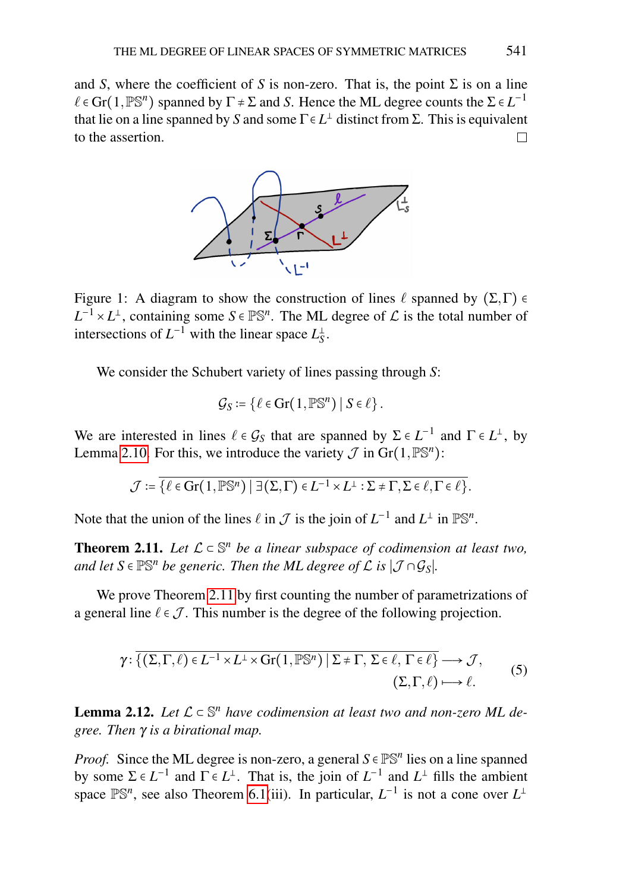and *S*, where the coefficient of *S* is non-zero. That is, the point  $\Sigma$  is on a line  $\ell \in \text{Gr}(1,\mathbb{P} \mathbb{S}^n)$  spanned by  $\Gamma \neq \Sigma$  and *S*. Hence the ML degree counts the  $\Sigma \in L^{-1}$ that lie on a line spanned by *S* and some  $\Gamma \in L^{\perp}$  distinct from  $\Sigma$ . This is equivalent to the assertion.  $\Box$ 



Figure 1: A diagram to show the construction of lines  $\ell$  spanned by  $(\Sigma,\Gamma) \in$  $L^{-1}$  ×  $L^{\perp}$ , containing some *S* ∈  $\mathbb{PS}^n$ . The ML degree of  $\mathcal L$  is the total number of intersections of  $L^{-1}$  with the linear space  $L_S^{\perp}$ .

We consider the Schubert variety of lines passing through *S*:

<span id="page-6-2"></span>
$$
\mathcal{G}_S \coloneqq \{ \ell \in \operatorname{Gr}(1, \mathbb{P} \mathbb{S}^n) \mid S \in \ell \}.
$$

We are interested in lines  $\ell \in \mathcal{G}_S$  that are spanned by  $\Sigma \in L^{-1}$  and  $\Gamma \in L^{\perp}$ , by Lemma [2.10.](#page-5-0) For this, we introduce the variety  $\mathcal J$  in  $\text{Gr}(1,\mathbb P \mathbb S^n)$ :

$$
\mathcal{J} := \overline{\{\ell \in \text{Gr}(1,\mathbb{P}\mathbb{S}^n) \mid \exists (\Sigma,\Gamma) \in L^{-1} \times L^{\perp} : \Sigma \neq \Gamma, \Sigma \in \ell, \Gamma \in \ell\}}.
$$

Note that the union of the lines  $\ell$  in  $\mathcal J$  is the join of  $L^{-1}$  and  $L^{\perp}$  in  $\mathbb{PS}^n$ .

<span id="page-6-0"></span>**Theorem 2.11.** *Let*  $\mathcal{L} \subset \mathbb{S}^n$  *be a linear subspace of codimension at least two,* and let  $S \in \mathbb{PS}^n$  be generic. Then the ML degree of  $\mathcal L$  is  $|\mathcal J \cap \mathcal G_S|$ *.* 

We prove Theorem [2.11](#page-6-0) by first counting the number of parametrizations of a general line  $\ell \in \mathcal{J}$ . This number is the degree of the following projection.

$$
\gamma: \overline{\{(\Sigma,\Gamma,\ell)\in L^{-1}\times L^{\perp}\times \text{Gr}(1,\mathbb{PS}^n) \mid \Sigma \neq \Gamma, \Sigma \in \ell, \Gamma \in \ell\}} \longrightarrow \mathcal{J},
$$
  

$$
(\Sigma,\Gamma,\ell) \longmapsto \ell.
$$
 (5)

<span id="page-6-1"></span>**Lemma 2.12.** Let  $\mathcal{L} \subset \mathbb{S}^n$  have codimension at least two and non-zero ML de*gree. Then* γ *is a birational map.*

*Proof.* Since the ML degree is non-zero, a general  $S \in \mathbb{PS}^n$  lies on a line spanned by some  $\Sigma \in L^{-1}$  and  $\Gamma \in L^{\perp}$ . That is, the join of  $L^{-1}$  and  $L^{\perp}$  fills the ambient space  $\mathbb{PS}^n$ , see also Theorem [6.1\(](#page-18-0)iii). In particular,  $L^{-1}$  is not a cone over  $L^{\perp}$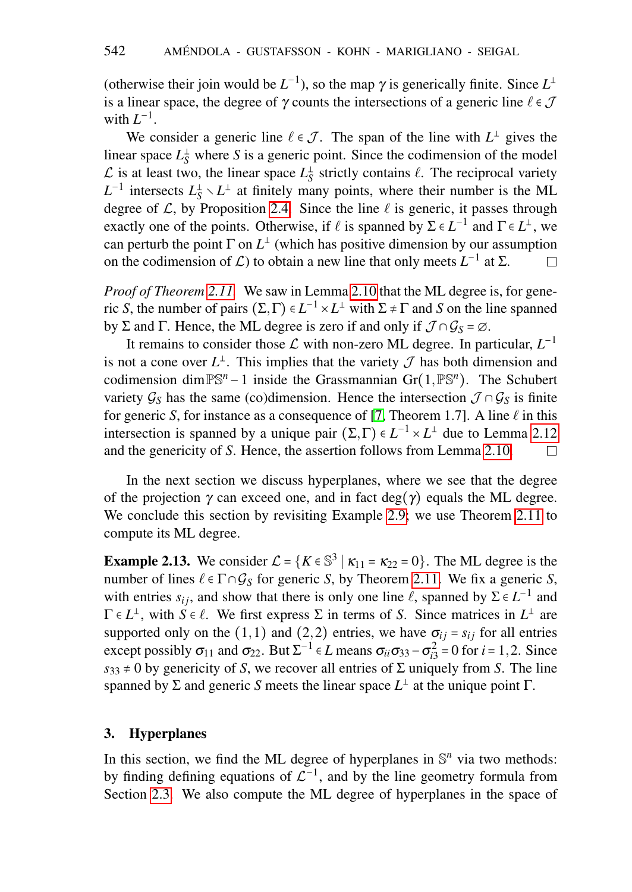(otherwise their join would be  $L^{-1}$ ), so the map  $\gamma$  is generically finite. Since  $L^{\perp}$ is a linear space, the degree of  $\gamma$  counts the intersections of a generic line  $\ell \in \mathcal{J}$ with  $L^{-1}$ .

We consider a generic line  $\ell \in \mathcal{J}$ . The span of the line with  $L^{\perp}$  gives the linear space  $L_S^{\perp}$  where *S* is a generic point. Since the codimension of the model  $\mathcal{L}$  is at least two, the linear space  $L_S^{\perp}$  strictly contains  $\ell$ . The reciprocal variety  $L^{-1}$  intersects  $L_S^{\perp} \setminus L^{\perp}$  at finitely many points, where their number is the ML degree of  $\mathcal{L}$ , by Proposition [2.4.](#page-3-2) Since the line  $\ell$  is generic, it passes through exactly one of the points. Otherwise, if  $\ell$  is spanned by  $\Sigma \in L^{-1}$  and  $\Gamma \in L^{\perp}$ , we can perturb the point  $\Gamma$  on  $L^{\perp}$  (which has positive dimension by our assumption on the codimension of  $\mathcal{L}$ ) to obtain a new line that only meets  $L^{-1}$  at  $\Sigma$ .  $\Box$ 

*Proof of Theorem [2.11.](#page-6-0)* We saw in Lemma [2.10](#page-5-0) that the ML degree is, for generic *S*, the number of pairs  $(\Sigma, \Gamma) \in L^{-1} \times L^{\perp}$  with  $\Sigma \neq \Gamma$  and *S* on the line spanned by Σ and Γ. Hence, the ML degree is zero if and only if  $\mathcal{J} \cap \mathcal{G}_S = \emptyset$ .

It remains to consider those  $\mathcal L$  with non-zero ML degree. In particular,  $L^{-1}$ is not a cone over  $L^{\perp}$ . This implies that the variety  $\mathcal J$  has both dimension and codimension dimPS*<sup>n</sup>* −1 inside the Grassmannian Gr(1,PS*<sup>n</sup>* ). The Schubert variety  $\mathcal{G}_S$  has the same (co)dimension. Hence the intersection  $\mathcal{J} \cap \mathcal{G}_S$  is finite for generic *S*, for instance as a consequence of [\[7,](#page-21-1) Theorem 1.7]. A line  $\ell$  in this intersection is spanned by a unique pair  $(\Sigma, \Gamma) \in L^{-1} \times L^{\perp}$  due to Lemma [2.12](#page-6-1) and the genericity of *S*. Hence, the assertion follows from Lemma [2.10.](#page-5-0)  $\Box$ 

In the next section we discuss hyperplanes, where we see that the degree of the projection  $\gamma$  can exceed one, and in fact deg( $\gamma$ ) equals the ML degree. We conclude this section by revisiting Example [2.9;](#page-5-1) we use Theorem [2.11](#page-6-0) to compute its ML degree.

<span id="page-7-1"></span>**Example 2.13.** We consider  $\mathcal{L} = \{K \in \mathbb{S}^3 \mid \kappa_{11} = \kappa_{22} = 0\}$ . The ML degree is the number of lines  $\ell \in \Gamma \cap \mathcal{G}_S$  for generic *S*, by Theorem [2.11.](#page-6-0) We fix a generic *S*, with entries  $s_{ij}$ , and show that there is only one line  $\ell$ , spanned by  $\Sigma \in L^{-1}$  and  $\Gamma \in L^{\perp}$ , with  $S \in \ell$ . We first express  $\Sigma$  in terms of *S*. Since matrices in  $L^{\perp}$  are supported only on the (1,1) and (2,2) entries, we have  $\sigma_{ij} = s_{ij}$  for all entries except possibly  $\sigma_{11}$  and  $\sigma_{22}$ . But  $\Sigma^{-1} \in L$  means  $\sigma_{ii}\sigma_{33} - \sigma_{i3}^2 = 0$  for  $i = 1, 2$ . Since  $s_{33} \neq 0$  by genericity of *S*, we recover all entries of  $\Sigma$  uniquely from *S*. The line spanned by  $\Sigma$  and generic *S* meets the linear space  $L^{\perp}$  at the unique point  $\Gamma$ .

### <span id="page-7-0"></span>3. Hyperplanes

In this section, we find the ML degree of hyperplanes in  $\mathbb{S}^n$  via two methods: by finding defining equations of  $\mathcal{L}^{-1}$ , and by the line geometry formula from Section [2.3.](#page-5-2) We also compute the ML degree of hyperplanes in the space of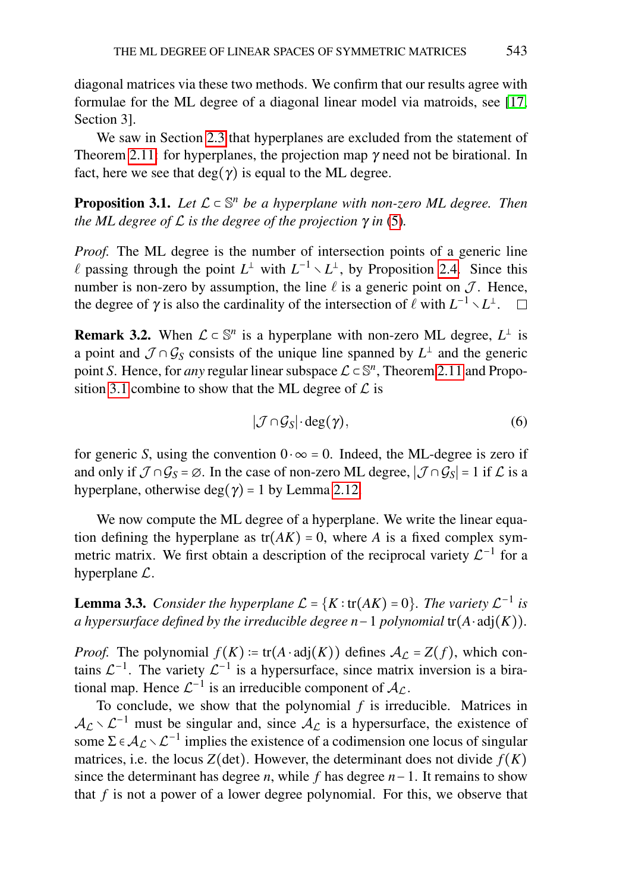diagonal matrices via these two methods. We confirm that our results agree with formulae for the ML degree of a diagonal linear model via matroids, see [\[17,](#page-22-0) Section 3].

We saw in Section [2.3](#page-5-2) that hyperplanes are excluded from the statement of Theorem [2.11:](#page-6-0) for hyperplanes, the projection map γ need not be birational. In fact, here we see that  $deg(\gamma)$  is equal to the ML degree.

<span id="page-8-0"></span>**Proposition 3.1.** Let  $\mathcal{L} \subset \mathbb{S}^n$  be a hyperplane with non-zero ML degree. Then *the ML degree of L is the degree of the projection*  $\gamma$  *in* [\(5\)](#page-6-2).

*Proof.* The ML degree is the number of intersection points of a generic line  $\ell$  passing through the point  $L^{\perp}$  with  $L^{-1} \setminus L^{\perp}$ , by Proposition [2.4.](#page-3-2) Since this number is non-zero by assumption, the line  $\ell$  is a generic point on  $\mathcal{J}$ . Hence, the degree of  $\gamma$  is also the cardinality of the intersection of  $\ell$  with  $L^{-1} \setminus L^{\perp}$ .  $\Box$ 

**Remark 3.2.** When  $\mathcal{L} \subset \mathbb{S}^n$  is a hyperplane with non-zero ML degree,  $L^{\perp}$  is a point and  $\mathcal{J} \cap \mathcal{G}_S$  consists of the unique line spanned by  $L^{\perp}$  and the generic point *S*. Hence, for *any* regular linear subspace  $\mathcal{L} \subset \mathbb{S}^n$ , Theorem [2.11](#page-6-0) and Propo-sition [3.1](#page-8-0) combine to show that the ML degree of  $\mathcal L$  is

<span id="page-8-2"></span>
$$
|\mathcal{J}\cap\mathcal{G}_S|\cdot\deg(\gamma),\tag{6}
$$

for generic *S*, using the convention  $0 \cdot \infty = 0$ . Indeed, the ML-degree is zero if and only if  $\mathcal{J} \cap \mathcal{G}_S = \emptyset$ . In the case of non-zero ML degree,  $|\mathcal{J} \cap \mathcal{G}_S| = 1$  if  $\mathcal{L}$  is a hyperplane, otherwise deg( $\gamma$ ) = 1 by Lemma [2.12.](#page-6-1)

We now compute the ML degree of a hyperplane. We write the linear equation defining the hyperplane as  $tr(AK) = 0$ , where *A* is a fixed complex symmetric matrix. We first obtain a description of the reciprocal variety  $\mathcal{L}^{-1}$  for a hyperplane L.

<span id="page-8-1"></span>**Lemma 3.3.** *Consider the hyperplane*  $\mathcal{L} = \{K : \text{tr}(AK) = 0\}$ *. The variety*  $\mathcal{L}^{-1}$  *is a hypersurface defined by the irreducible degree n*−1 *polynomial* tr(*A*⋅adj(*K*))*.*

*Proof.* The polynomial  $f(K) := \text{tr}(A \cdot \text{adj}(K))$  defines  $A_C = Z(f)$ , which contains  $\mathcal{L}^{-1}$ . The variety  $\mathcal{L}^{-1}$  is a hypersurface, since matrix inversion is a birational map. Hence  $\mathcal{L}^{-1}$  is an irreducible component of  $\mathcal{A}_{\mathcal{L}}$ .

To conclude, we show that the polynomial *f* is irreducible. Matrices in  $A_{\mathcal{L}} \setminus \mathcal{L}^{-1}$  must be singular and, since  $A_{\mathcal{L}}$  is a hypersurface, the existence of some  $\Sigma \in A_{\mathcal{L}} \setminus \mathcal{L}^{-1}$  implies the existence of a codimension one locus of singular matrices, i.e. the locus  $Z(\text{det})$ . However, the determinant does not divide  $f(K)$ since the determinant has degree *n*, while *f* has degree *n*−1. It remains to show that *f* is not a power of a lower degree polynomial. For this, we observe that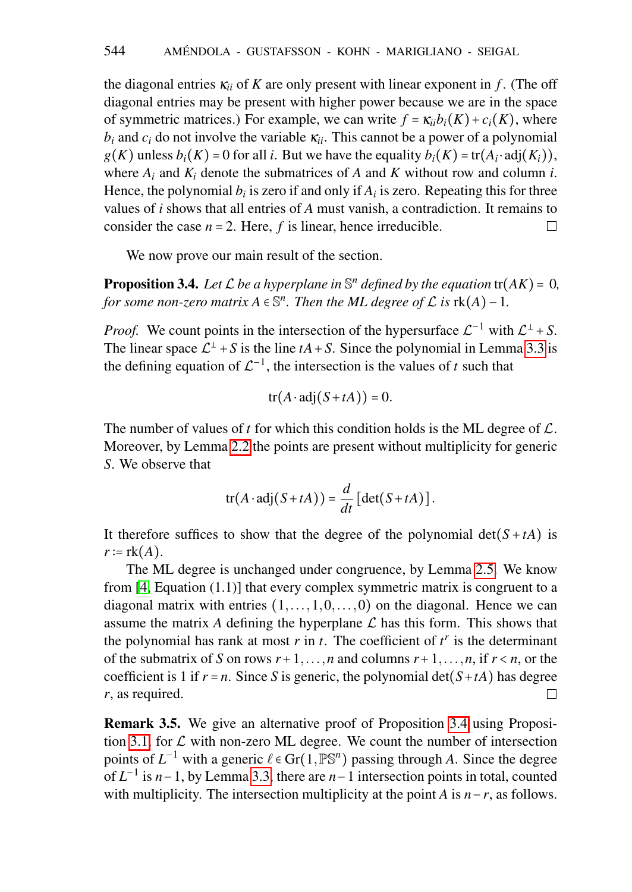the diagonal entries  $\kappa_{ii}$  of K are only present with linear exponent in *f*. (The off diagonal entries may be present with higher power because we are in the space of symmetric matrices.) For example, we can write  $f = \kappa_{ii} b_i(K) + c_i(K)$ , where  $b_i$  and  $c_i$  do not involve the variable  $\kappa_{ii}$ . This cannot be a power of a polynomial  $g(K)$  unless  $b_i(K) = 0$  for all *i*. But we have the equality  $b_i(K) = \text{tr}(A_i \cdot \text{adj}(K_i)),$ where  $A_i$  and  $K_i$  denote the submatrices of  $A$  and  $K$  without row and column  $i$ . Hence, the polynomial  $b_i$  is zero if and only if  $A_i$  is zero. Repeating this for three values of *i* shows that all entries of *A* must vanish, a contradiction. It remains to consider the case  $n = 2$ . Here,  $f$  is linear, hence irreducible.  $\Box$ 

We now prove our main result of the section.

<span id="page-9-0"></span>**Proposition 3.4.** Let  $\mathcal L$  be a hyperplane in  $\mathbb S^n$  defined by the equation  $tr(AK) = 0$ , *for some non-zero matrix*  $A \in \mathbb{S}^n$ . Then the ML degree of  $\mathcal L$  is  $\text{rk}(A) - 1$ .

*Proof.* We count points in the intersection of the hypersurface  $\mathcal{L}^{-1}$  with  $\mathcal{L}^{\perp}$  + S. The linear space  $\mathcal{L}^{\perp}$  + *S* is the line *tA* + *S*. Since the polynomial in Lemma [3.3](#page-8-1) is the defining equation of  $\mathcal{L}^{-1}$ , the intersection is the values of *t* such that

$$
tr(A \cdot adj(S + tA)) = 0.
$$

The number of values of  $t$  for which this condition holds is the ML degree of  $\mathcal{L}$ . Moreover, by Lemma [2.2](#page-3-0) the points are present without multiplicity for generic *S*. We observe that

$$
\operatorname{tr}(A \cdot \operatorname{adj}(S + tA)) = \frac{d}{dt} [\operatorname{det}(S + tA)].
$$

It therefore suffices to show that the degree of the polynomial  $det(S + tA)$  is  $r := \text{rk}(A)$ .

The ML degree is unchanged under congruence, by Lemma [2.5.](#page-4-1) We know from [\[4,](#page-21-2) Equation (1.1)] that every complex symmetric matrix is congruent to a diagonal matrix with entries  $(1, \ldots, 1, 0, \ldots, 0)$  on the diagonal. Hence we can assume the matrix A defining the hyperplane  $\mathcal L$  has this form. This shows that the polynomial has rank at most  $r$  in  $t$ . The coefficient of  $t^r$  is the determinant of the submatrix of *S* on rows  $r+1, \ldots, n$  and columns  $r+1, \ldots, n$ , if  $r < n$ , or the coefficient is 1 if  $r = n$ . Since *S* is generic, the polynomial det( $S + tA$ ) has degree *r*, as required.  $\Box$ 

Remark 3.5. We give an alternative proof of Proposition [3.4](#page-9-0) using Proposi-tion [3.1,](#page-8-0) for  $\mathcal L$  with non-zero ML degree. We count the number of intersection points of  $L^{-1}$  with a generic  $\ell \in \text{Gr}(1, \mathbb{PS}^n)$  passing through *A*. Since the degree of *L* −1 is *n*−1, by Lemma [3.3,](#page-8-1) there are *n*−1 intersection points in total, counted with multiplicity. The intersection multiplicity at the point *A* is *n*−*r*, as follows.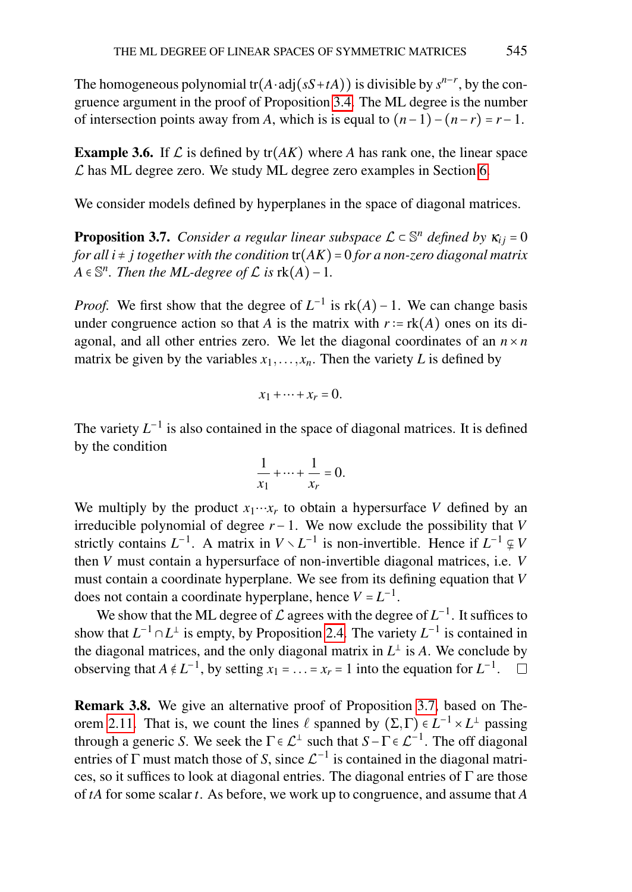The homogeneous polynomial  $tr(A \cdot adj(sS + tA))$  is divisible by  $s^{n-r}$ , by the congruence argument in the proof of Proposition [3.4.](#page-9-0) The ML degree is the number of intersection points away from *A*, which is is equal to  $(n-1)-(n-r)=r-1$ .

**Example 3.6.** If  $\mathcal{L}$  is defined by tr( $AK$ ) where A has rank one, the linear space  $\mathcal L$  has ML degree zero. We study ML degree zero examples in Section [6.](#page-17-0)

We consider models defined by hyperplanes in the space of diagonal matrices.

<span id="page-10-0"></span>**Proposition 3.7.** *Consider a regular linear subspace*  $\mathcal{L} \subset \mathbb{S}^n$  *defined by*  $\kappa_{ij} = 0$ *for all i* ≠ *j together with the condition* tr(*AK*) = 0 *for a non-zero diagonal matrix*  $A \in \mathbb{S}^n$ . Then the ML-degree of  $\mathcal L$  *is*  $rk(A) - 1$ .

*Proof.* We first show that the degree of  $L^{-1}$  is  $rk(A) - 1$ . We can change basis under congruence action so that *A* is the matrix with  $r := \text{rk}(A)$  ones on its diagonal, and all other entries zero. We let the diagonal coordinates of an  $n \times n$ matrix be given by the variables  $x_1, \ldots, x_n$ . Then the variety *L* is defined by

$$
x_1+\cdots+x_r=0.
$$

The variety  $L^{-1}$  is also contained in the space of diagonal matrices. It is defined by the condition

$$
\frac{1}{x_1} + \dots + \frac{1}{x_r} = 0.
$$

We multiply by the product  $x_1 \cdots x_r$  to obtain a hypersurface *V* defined by an irreducible polynomial of degree *r* −1. We now exclude the possibility that *V* strictly contains  $L^{-1}$ . A matrix in  $V \setminus L^{-1}$  is non-invertible. Hence if  $L^{-1} \subsetneq V$ then *V* must contain a hypersurface of non-invertible diagonal matrices, i.e. *V* must contain a coordinate hyperplane. We see from its defining equation that *V* does not contain a coordinate hyperplane, hence  $V = L^{-1}$ .

We show that the ML degree of  $\mathcal L$  agrees with the degree of  $L^{-1}$ . It suffices to show that  $L^{-1} \cap L^{\perp}$  is empty, by Proposition [2.4.](#page-3-2) The variety  $L^{-1}$  is contained in the diagonal matrices, and the only diagonal matrix in  $L^{\perp}$  is A. We conclude by observing that  $A \notin L^{-1}$ , by setting  $x_1 = \ldots = x_r = 1$  into the equation for  $L^{-1}$ .

<span id="page-10-1"></span>Remark 3.8. We give an alternative proof of Proposition [3.7,](#page-10-0) based on The-orem [2.11.](#page-6-0) That is, we count the lines  $\ell$  spanned by  $(\Sigma, \Gamma) \in L^{-1} \times L^{\perp}$  passing through a generic *S*. We seek the  $\Gamma \in \mathcal{L}^{\perp}$  such that  $S - \Gamma \in \mathcal{L}^{-1}$ . The off diagonal entries of  $\Gamma$  must match those of *S*, since  $\mathcal{L}^{-1}$  is contained in the diagonal matrices, so it suffices to look at diagonal entries. The diagonal entries of  $\Gamma$  are those of *tA* for some scalar *t*. As before, we work up to congruence, and assume that *A*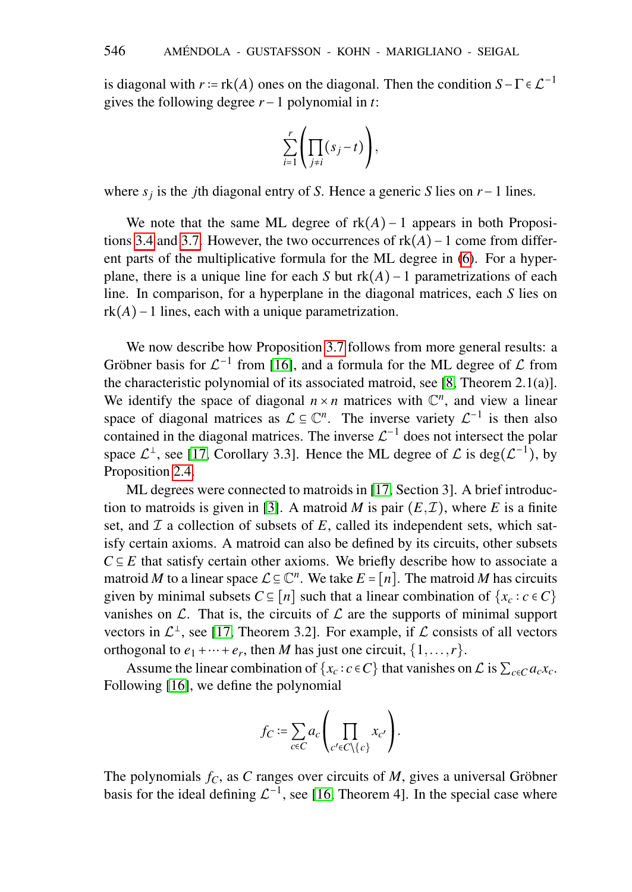is diagonal with  $r = \text{rk}(A)$  ones on the diagonal. Then the condition  $S - \Gamma \in \mathcal{L}^{-1}$ gives the following degree *r*−1 polynomial in *t*:

$$
\sum_{i=1}^r \left( \prod_{j \neq i} (s_j - t) \right),
$$

where *s<sup>j</sup>* is the *j*th diagonal entry of *S*. Hence a generic *S* lies on *r*−1 lines.

We note that the same ML degree of  $rk(A) - 1$  appears in both Propositions [3.4](#page-9-0) and [3.7.](#page-10-0) However, the two occurrences of rk(*A*)−1 come from different parts of the multiplicative formula for the ML degree in [\(6\)](#page-8-2). For a hyperplane, there is a unique line for each *S* but rk(*A*)−1 parametrizations of each line. In comparison, for a hyperplane in the diagonal matrices, each *S* lies on  $rk(A)$ −1 lines, each with a unique parametrization.

We now describe how Proposition [3.7](#page-10-0) follows from more general results: a Gröbner basis for  $\mathcal{L}^{-1}$  from [\[16\]](#page-22-6), and a formula for the ML degree of  $\mathcal L$  from the characteristic polynomial of its associated matroid, see [\[8,](#page-21-3) Theorem 2.1(a)]. We identify the space of diagonal  $n \times n$  matrices with  $\mathbb{C}^n$ , and view a linear space of diagonal matrices as  $\mathcal{L} \subseteq \mathbb{C}^n$ . The inverse variety  $\mathcal{L}^{-1}$  is then also contained in the diagonal matrices. The inverse  $\mathcal{L}^{-1}$  does not intersect the polar space  $\mathcal{L}^{\perp}$ , see [\[17,](#page-22-0) Corollary 3.3]. Hence the ML degree of  $\mathcal{L}$  is deg( $\mathcal{L}^{-1}$ ), by Proposition [2.4.](#page-3-2)

ML degrees were connected to matroids in [\[17,](#page-22-0) Section 3]. A brief introduc-tion to matroids is given in [\[3\]](#page-21-4). A matroid *M* is pair  $(E, \mathcal{I})$ , where *E* is a finite set, and  $\mathcal I$  a collection of subsets of  $E$ , called its independent sets, which satisfy certain axioms. A matroid can also be defined by its circuits, other subsets  $C \subseteq E$  that satisfy certain other axioms. We briefly describe how to associate a matroid *M* to a linear space  $\mathcal{L} \subseteq \mathbb{C}^n$ . We take  $E = [n]$ . The matroid *M* has circuits given by minimal subsets  $C \subseteq [n]$  such that a linear combination of  $\{x_c : c \in C\}$ vanishes on  $\mathcal{L}$ . That is, the circuits of  $\mathcal{L}$  are the supports of minimal support vectors in  $\mathcal{L}^{\perp}$ , see [\[17,](#page-22-0) Theorem 3.2]. For example, if  $\mathcal L$  consists of all vectors orthogonal to  $e_1 + \cdots + e_r$ , then *M* has just one circuit,  $\{1, \ldots, r\}$ .

Assume the linear combination of  $\{x_c : c \in C\}$  that vanishes on  $\mathcal{L}$  is  $\sum_{c \in C} a_c x_c$ . Following [\[16\]](#page-22-6), we define the polynomial

$$
f_C := \sum_{c \in C} a_c \left( \prod_{c' \in C \setminus \{c\}} x_{c'} \right).
$$

The polynomials  $f_C$ , as C ranges over circuits of M, gives a universal Gröbner basis for the ideal defining  $\mathcal{L}^{-1}$ , see [\[16,](#page-22-6) Theorem 4]. In the special case where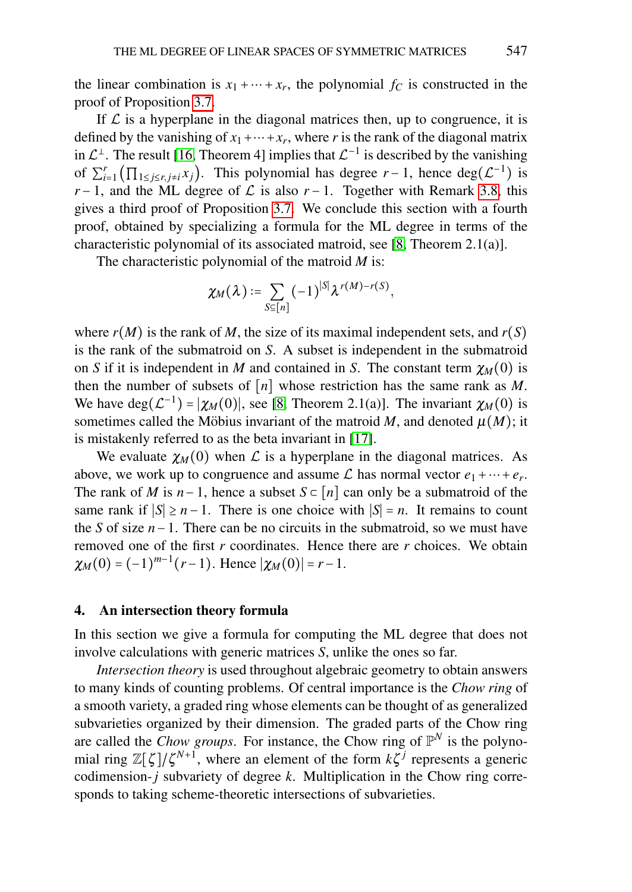the linear combination is  $x_1 + \cdots + x_r$ , the polynomial  $f_C$  is constructed in the proof of Proposition [3.7.](#page-10-0)

If  $\mathcal L$  is a hyperplane in the diagonal matrices then, up to congruence, it is defined by the vanishing of  $x_1 + \cdots + x_r$ , where *r* is the rank of the diagonal matrix in  $\mathcal{L}^{\perp}$ . The result [\[16,](#page-22-6) Theorem 4] implies that  $\mathcal{L}^{-1}$  is described by the vanishing of  $\sum_{i=1}^r (\prod_{1 \le j \le r, j \ne i} x_j)$ . This polynomial has degree  $r-1$ , hence  $deg(\mathcal{L}^{-1})$  is *r* − 1, and the ML degree of  $\mathcal L$  is also *r* − 1. Together with Remark [3.8,](#page-10-1) this gives a third proof of Proposition [3.7.](#page-10-0) We conclude this section with a fourth proof, obtained by specializing a formula for the ML degree in terms of the characteristic polynomial of its associated matroid, see [\[8,](#page-21-3) Theorem 2.1(a)].

The characteristic polynomial of the matroid *M* is:

$$
\chi_M(\lambda) \coloneqq \sum_{S \subseteq [n]} (-1)^{|S|} \lambda^{r(M) - r(S)},
$$

where  $r(M)$  is the rank of *M*, the size of its maximal independent sets, and  $r(S)$ is the rank of the submatroid on *S*. A subset is independent in the submatroid on *S* if it is independent in *M* and contained in *S*. The constant term  $\chi_M(0)$  is then the number of subsets of  $[n]$  whose restriction has the same rank as M. We have  $deg(\mathcal{L}^{-1}) = |\chi_M(0)|$ , see [\[8,](#page-21-3) Theorem 2.1(a)]. The invariant  $\chi_M(0)$  is sometimes called the Möbius invariant of the matroid  $M$ , and denoted  $\mu(M)$ ; it is mistakenly referred to as the beta invariant in [\[17\]](#page-22-0).

We evaluate  $\chi_M(0)$  when L is a hyperplane in the diagonal matrices. As above, we work up to congruence and assume  $\mathcal{L}$  has normal vector  $e_1 + \cdots + e_r$ . The rank of *M* is  $n-1$ , hence a subset  $S \subset [n]$  can only be a submatroid of the same rank if  $|S| \ge n - 1$ . There is one choice with  $|S| = n$ . It remains to count the *S* of size *n*−1. There can be no circuits in the submatroid, so we must have removed one of the first *r* coordinates. Hence there are *r* choices. We obtain  $\chi_M(0) = (-1)^{m-1}(r-1)$ . Hence  $|\chi_M(0)| = r-1$ .

### 4. An intersection theory formula

In this section we give a formula for computing the ML degree that does not involve calculations with generic matrices *S*, unlike the ones so far.

*Intersection theory* is used throughout algebraic geometry to obtain answers to many kinds of counting problems. Of central importance is the *Chow ring* of a smooth variety, a graded ring whose elements can be thought of as generalized subvarieties organized by their dimension. The graded parts of the Chow ring are called the *Chow groups*. For instance, the Chow ring of  $\mathbb{P}^N$  is the polynomial ring  $\mathbb{Z}[\zeta]/\zeta^{N+1}$ , where an element of the form  $k\zeta^j$  represents a generic codimension-*j* subvariety of degree *k*. Multiplication in the Chow ring corresponds to taking scheme-theoretic intersections of subvarieties.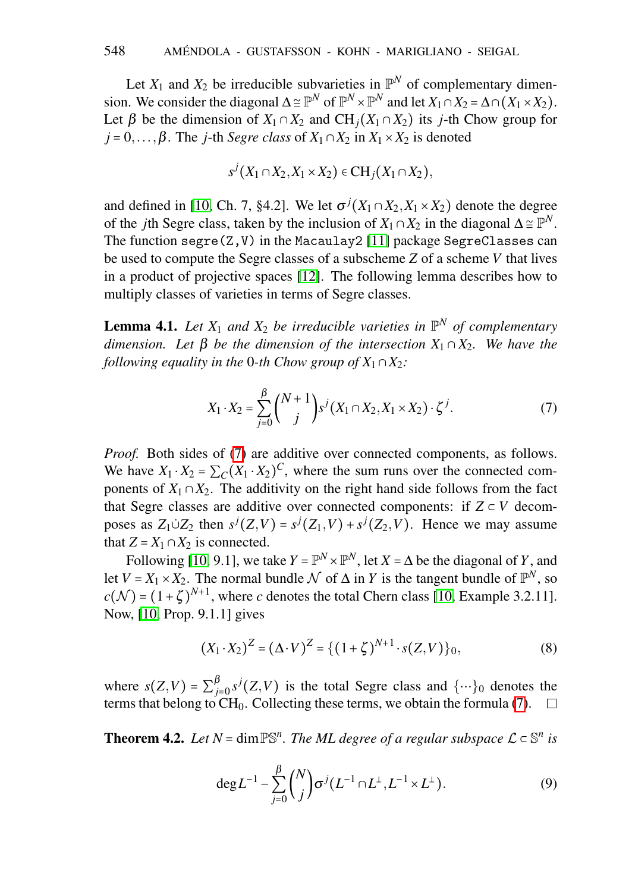Let  $X_1$  and  $X_2$  be irreducible subvarieties in  $\mathbb{P}^N$  of complementary dimension. We consider the diagonal  $\Delta \cong \mathbb{P}^N$  of  $\mathbb{P}^N \times \mathbb{P}^N$  and let  $X_1 \cap X_2 = \Delta \cap (X_1 \times X_2)$ . Let  $\beta$  be the dimension of  $X_1 \cap X_2$  and  $CH_i(X_1 \cap X_2)$  its *j*-th Chow group for  $j = 0, \ldots, \beta$ . The *j*-th *Segre class* of  $X_1 \cap X_2$  in  $X_1 \times X_2$  is denoted

$$
s^{j}(X_1 \cap X_2, X_1 \times X_2) \in \mathbf{CH}_j(X_1 \cap X_2),
$$

and defined in [\[10,](#page-21-5) Ch. 7, §4.2]. We let  $\sigma^{j}(X_1 \cap X_2, X_1 \times X_2)$  denote the degree of the *j*th Segre class, taken by the inclusion of  $X_1 \cap X_2$  in the diagonal  $\Delta \cong \mathbb{P}^N$ . The function segre(Z,V) in the Macaulay2 [\[11\]](#page-21-6) package SegreClasses can be used to compute the Segre classes of a subscheme *Z* of a scheme *V* that lives in a product of projective spaces [\[12\]](#page-22-7). The following lemma describes how to multiply classes of varieties in terms of Segre classes.

<span id="page-13-2"></span>**Lemma 4.1.** Let  $X_1$  and  $X_2$  be irreducible varieties in  $\mathbb{P}^N$  of complementary *dimension.* Let β be the dimension of the intersection  $X_1 ∩ X_2$ . We have the *following equality in the* 0*-th Chow group of*  $X_1 \cap X_2$ *:* 

<span id="page-13-1"></span>
$$
X_1 \cdot X_2 = \sum_{j=0}^{\beta} {N+1 \choose j} s^j (X_1 \cap X_2, X_1 \times X_2) \cdot \zeta^j.
$$
 (7)

*Proof.* Both sides of [\(7\)](#page-13-1) are additive over connected components, as follows. We have  $X_1 \cdot X_2 = \sum_C (X_1 \cdot X_2)^C$ , where the sum runs over the connected components of  $X_1 \cap X_2$ . The additivity on the right hand side follows from the fact that Segre classes are additive over connected components: if  $Z \subset V$  decomposes as  $Z_1 \cup Z_2$  then  $s^j(Z, V) = s^j(Z_1, V) + s^j(Z_2, V)$ . Hence we may assume that  $Z = X_1 \cap X_2$  is connected.

Following [\[10,](#page-21-5) 9.1], we take  $Y = \mathbb{P}^N \times \mathbb{P}^N$ , let  $X = \Delta$  be the diagonal of *Y*, and let  $V = X_1 \times X_2$ . The normal bundle  $\mathcal N$  of  $\Delta$  in *Y* is the tangent bundle of  $\mathbb P^N$ , so  $c(\mathcal{N}) = (1 + \zeta)^{N+1}$ , where *c* denotes the total Chern class [\[10,](#page-21-5) Example 3.2.11]. Now, [\[10,](#page-21-5) Prop. 9.1.1] gives

<span id="page-13-3"></span>
$$
(X_1 \cdot X_2)^Z = (\Delta \cdot V)^Z = \{ (1 + \zeta)^{N+1} \cdot s(Z, V) \}_0,
$$
 (8)

where  $s(Z, V) = \sum_{i=1}^{p}$  $\int_{j=0}^{B} s^{j}(Z,V)$  is the total Segre class and  $\{\cdots\}$ <sup>0</sup> denotes the terms that belong to  $CH<sub>0</sub>$ . Collecting these terms, we obtain the formula [\(7\)](#page-13-1).

<span id="page-13-0"></span>**Theorem 4.2.** Let  $N = \dim \mathbb{PS}^n$ . The ML degree of a regular subspace  $\mathcal{L} \subset \mathbb{S}^n$  is

<span id="page-13-4"></span>
$$
\deg L^{-1} - \sum_{j=0}^{\beta} {N \choose j} \sigma^{j} (L^{-1} \cap L^{\perp}, L^{-1} \times L^{\perp}).
$$
 (9)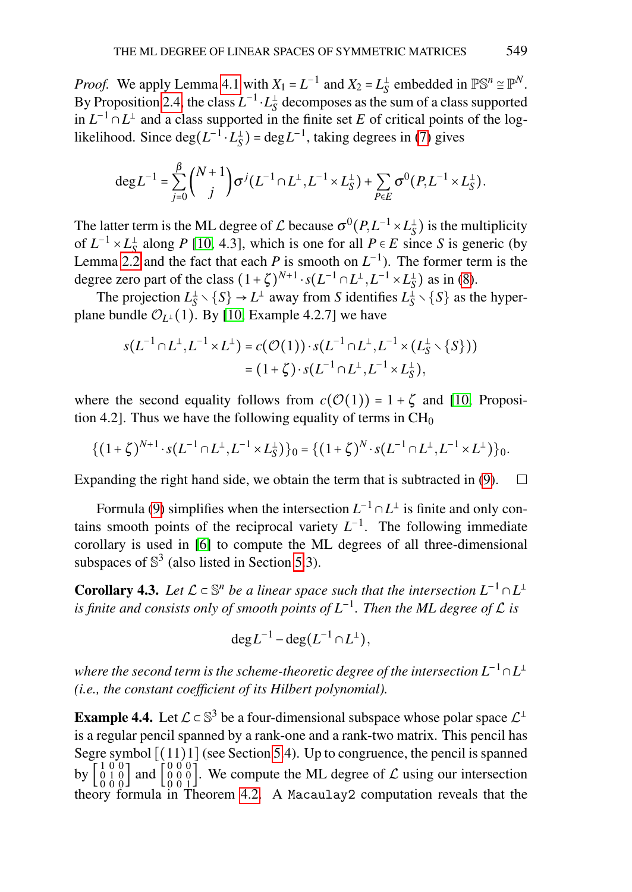*Proof.* We apply Lemma [4.1](#page-13-2) with  $X_1 = L^{-1}$  and  $X_2 = L_S^{\perp}$  embedded in  $\mathbb{PS}^n \cong \mathbb{P}^N$ . By Proposition [2.4,](#page-3-2) the class  $L^{-1} \cdot L_S^{\perp}$  decomposes as the sum of a class supported in  $L^{-1} ∩ L^{\perp}$  and a class supported in the finite set *E* of critical points of the loglikelihood. Since  $deg(L^{-1} \cdot L_S^{\perp}) = deg L^{-1}$ , taking degrees in [\(7\)](#page-13-1) gives

$$
\mathrm{deg} L^{-1} = \sum_{j=0}^{\beta} {N+1 \choose j} \sigma^{j} (L^{-1} \cap L^{\perp}, L^{-1} \times L_S^{\perp}) + \sum_{P \in E} \sigma^{0}(P, L^{-1} \times L_S^{\perp}).
$$

The latter term is the ML degree of  $\mathcal{L}$  because  $\sigma^0(P, L^{-1} \times L_S^{\perp})$  is the multiplicity of  $L^{-1} \times L_S^{\perp}$  along *P* [\[10,](#page-21-5) 4.3], which is one for all  $P \in E$  since *S* is generic (by Lemma [2.2](#page-3-0) and the fact that each *P* is smooth on  $L^{-1}$ ). The former term is the degree zero part of the class  $(1+\zeta)^{N+1} \cdot s(L^{-1} \cap L^{\perp}, L^{-1} \times L_S^{\perp})$  as in [\(8\)](#page-13-3).

The projection  $L_S^{\perp} \setminus \{S\} \to L^{\perp}$  away from *S* identifies  $L_S^{\perp} \setminus \{S\}$  as the hyperplane bundle  $\mathcal{O}_{L^{\perp}}(1)$ . By [\[10,](#page-21-5) Example 4.2.7] we have

$$
s(L^{-1} \cap L^{\perp}, L^{-1} \times L^{\perp}) = c(\mathcal{O}(1)) \cdot s(L^{-1} \cap L^{\perp}, L^{-1} \times (L_S^{\perp} \setminus \{S\}))
$$
  
=  $(1 + \zeta) \cdot s(L^{-1} \cap L^{\perp}, L^{-1} \times L_S^{\perp}),$ 

where the second equality follows from  $c(\mathcal{O}(1)) = 1 + \zeta$  and [\[10,](#page-21-5) Proposition 4.2]. Thus we have the following equality of terms in  $CH<sub>0</sub>$ 

$$
\{(1+\zeta)^{N+1} \cdot s(L^{-1} \cap L^{\perp}, L^{-1} \times L_S^{\perp})\}_0 = \{(1+\zeta)^N \cdot s(L^{-1} \cap L^{\perp}, L^{-1} \times L^{\perp})\}_0.
$$

Expanding the right hand side, we obtain the term that is subtracted in [\(9\)](#page-13-4).  $\Box$ 

Formula [\(9\)](#page-13-4) simplifies when the intersection  $L^{-1} \cap L^{\perp}$  is finite and only contains smooth points of the reciprocal variety  $L^{-1}$ . The following immediate corollary is used in [\[6\]](#page-21-7) to compute the ML degrees of all three-dimensional subspaces of  $\mathbb{S}^3$  (also listed in Section [5.](#page-16-0)3).

<span id="page-14-0"></span>**Corollary 4.3.** Let  $\mathcal{L} \subset \mathbb{S}^n$  be a linear space such that the intersection  $L^{-1} \cap L^{\perp}$ *is finite and consists only of smooth points of L*−<sup>1</sup> *. Then the ML degree of* L *is*

$$
\deg L^{-1} - \deg(L^{-1} \cap L^{\perp}),
$$

 $\omega$  where the second term is the scheme-theoretic degree of the intersection  $L^{-1}$  ∩  $L^\perp$ *(i.e., the constant coefficient of its Hilbert polynomial).*

**Example 4.4.** Let  $\mathcal{L} \subset \mathbb{S}^3$  be a four-dimensional subspace whose polar space  $\mathcal{L}^{\perp}$ is a regular pencil spanned by a rank-one and a rank-two matrix. This pencil has Segre symbol  $[(11)1]$  (see Section [5.](#page-16-0)4). Up to congruence, the pencil is spanned by  $\begin{bmatrix} 1 & 0 & 0 \\ 0 & 1 & 0 \\ 0 & 0 & 0 \\ 0 & 0 & 0 \end{bmatrix}$ . We compute the ML degree of  $\mathcal L$  using our intersection 0 0 0 0 0 1 theory formula in Theorem [4.2.](#page-13-0) A Macaulay2 computation reveals that the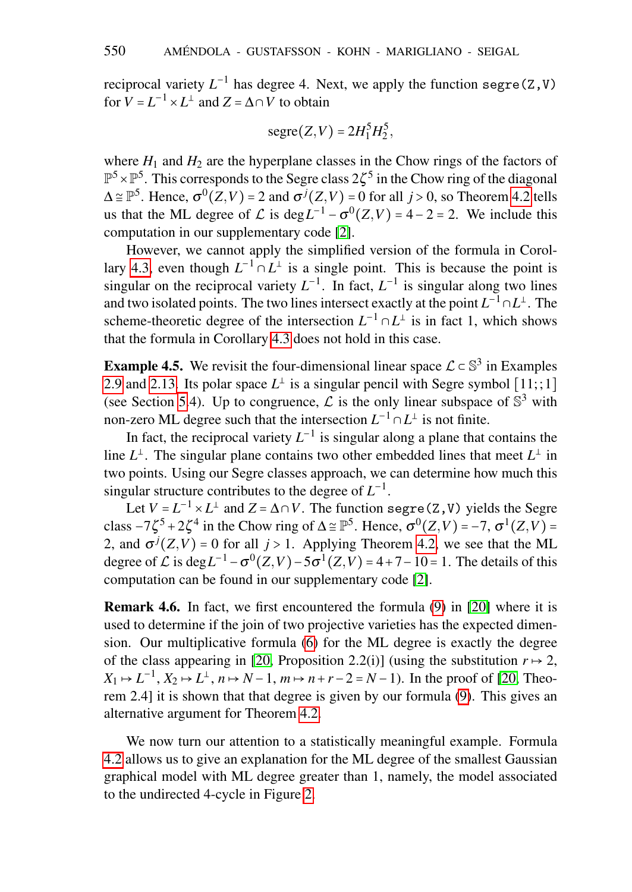reciprocal variety  $L^{-1}$  has degree 4. Next, we apply the function segre( $Z$ ,  $V$ ) for  $V = L^{-1} \times L^{\perp}$  and  $Z = \Delta \cap V$  to obtain

$$
segre(Z,V)=2H_1^5H_2^5,
$$

where  $H_1$  and  $H_2$  are the hyperplane classes in the Chow rings of the factors of  $\mathbb{P}^5 \times \mathbb{P}^5$ . This corresponds to the Segre class  $2\zeta^5$  in the Chow ring of the diagonal  $\Delta \cong \mathbb{P}^5$ . Hence,  $\sigma^0(Z, V) = 2$  and  $\sigma^j(Z, V) = 0$  for all  $j > 0$ , so Theorem [4.2](#page-13-0) tells us that the ML degree of  $\mathcal L$  is deg $L^{-1} - \sigma^0(Z, V) = 4 - 2 = 2$ . We include this computation in our supplementary code [\[2\]](#page-21-8).

However, we cannot apply the simplified version of the formula in Corol-lary [4.3,](#page-14-0) even though  $L^{-1} \cap L^{\perp}$  is a single point. This is because the point is singular on the reciprocal variety  $L^{-1}$ . In fact,  $L^{-1}$  is singular along two lines and two isolated points. The two lines intersect exactly at the point  $L^{-1} \cap L^{\perp}$ . The scheme-theoretic degree of the intersection  $L^{-1} \cap L^{\perp}$  is in fact 1, which shows that the formula in Corollary [4.3](#page-14-0) does not hold in this case.

**Example 4.5.** We revisit the four-dimensional linear space  $\mathcal{L} \subset \mathbb{S}^3$  in Examples [2.9](#page-5-1) and [2.13.](#page-7-1) Its polar space  $L^{\perp}$  is a singular pencil with Segre symbol [11;;1] (see Section [5.](#page-16-0)4). Up to congruence,  $\mathcal L$  is the only linear subspace of  $\mathbb S^3$  with non-zero ML degree such that the intersection  $L^{-1} \cap L^{\perp}$  is not finite.

In fact, the reciprocal variety  $L^{-1}$  is singular along a plane that contains the line  $L^{\perp}$ . The singular plane contains two other embedded lines that meet  $L^{\perp}$  in two points. Using our Segre classes approach, we can determine how much this singular structure contributes to the degree of  $L^{-1}$ .

Let  $V = L^{-1} \times L^{\perp}$  and  $Z = \Delta \cap V$ . The function segre(Z,V) yields the Segre class  $-7\zeta^5 + 2\zeta^4$  in the Chow ring of  $\Delta \cong \mathbb{P}^5$ . Hence,  $\sigma^0(Z, V) = -7$ ,  $\sigma^1(Z, V) =$ 2, and  $\sigma^{j}(Z, V) = 0$  for all  $j > 1$ . Applying Theorem [4.2,](#page-13-0) we see that the ML degree of  $\mathcal L$  is deg  $L^{-1} - \sigma^0(Z, V) - 5\sigma^1(Z, V) = 4 + 7 - 10 = 1$ . The details of this computation can be found in our supplementary code [\[2\]](#page-21-8).

Remark 4.6. In fact, we first encountered the formula [\(9\)](#page-13-4) in [\[20\]](#page-22-4) where it is used to determine if the join of two projective varieties has the expected dimension. Our multiplicative formula [\(6\)](#page-8-2) for the ML degree is exactly the degree of the class appearing in [\[20,](#page-22-4) Proposition 2.2(i)] (using the substitution  $r \mapsto 2$ , *X*<sub>1</sub> → *L*<sup>-1</sup>, *X*<sub>2</sub> → *L*<sup>⊥</sup>, *n* → *N* − 1, *m* → *n* + *r* − 2 = *N* − 1). In the proof of [\[20,](#page-22-4) Theorem 2.4] it is shown that that degree is given by our formula [\(9\)](#page-13-4). This gives an alternative argument for Theorem [4.2.](#page-13-0)

We now turn our attention to a statistically meaningful example. Formula [4.2](#page-13-0) allows us to give an explanation for the ML degree of the smallest Gaussian graphical model with ML degree greater than 1, namely, the model associated to the undirected 4-cycle in Figure [2.](#page-16-1)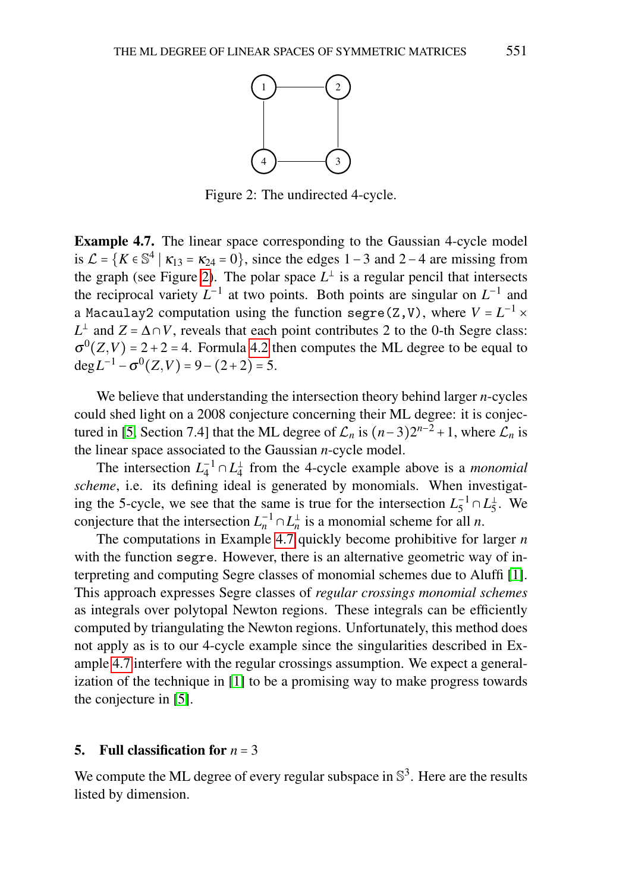<span id="page-16-1"></span>

Figure 2: The undirected 4-cycle.

<span id="page-16-2"></span>Example 4.7. The linear space corresponding to the Gaussian 4-cycle model is  $\mathcal{L} = \{K \in \mathbb{S}^4 \mid \kappa_{13} = \kappa_{24} = 0\}$ , since the edges 1 – 3 and 2 – 4 are missing from the graph (see Figure [2\)](#page-16-1). The polar space  $L^{\perp}$  is a regular pencil that intersects the reciprocal variety  $L^{-1}$  at two points. Both points are singular on  $L^{-1}$  and a Macaulay2 computation using the function  $\texttt{segre}(\texttt{Z}, \texttt{V})$  , where  $V = L^{-1} \times$  $L^{\perp}$  and  $Z = \Delta \cap V$ , reveals that each point contributes 2 to the 0-th Segre class:  $\sigma^{0}(Z,V) = 2 + 2 = 4$ . Formula [4.2](#page-13-0) then computes the ML degree to be equal to deg $L^{-1}$  –  $\sigma^0(Z, V)$  = 9 – (2+2) = 5.

We believe that understanding the intersection theory behind larger *n*-cycles could shed light on a 2008 conjecture concerning their ML degree: it is conjec-tured in [\[5,](#page-21-9) Section 7.4] that the ML degree of  $\mathcal{L}_n$  is  $(n-3)2^{n-2} + 1$ , where  $\mathcal{L}_n$  is the linear space associated to the Gaussian *n*-cycle model.

The intersection  $L_4^{-1} \cap L_4^{\perp}$  from the 4-cycle example above is a *monomial scheme*, i.e. its defining ideal is generated by monomials. When investigating the 5-cycle, we see that the same is true for the intersection  $L_5^{-1} \cap L_5^{\perp}$ . We conjecture that the intersection  $L_n^{-1} \cap L_n^{\perp}$  is a monomial scheme for all *n*.

The computations in Example [4.7](#page-16-2) quickly become prohibitive for larger *n* with the function segre. However, there is an alternative geometric way of interpreting and computing Segre classes of monomial schemes due to Aluffi [\[1\]](#page-21-10). This approach expresses Segre classes of *regular crossings monomial schemes* as integrals over polytopal Newton regions. These integrals can be efficiently computed by triangulating the Newton regions. Unfortunately, this method does not apply as is to our 4-cycle example since the singularities described in Example [4.7](#page-16-2) interfere with the regular crossings assumption. We expect a generalization of the technique in [\[1\]](#page-21-10) to be a promising way to make progress towards the conjecture in [\[5\]](#page-21-9).

#### <span id="page-16-0"></span>5. Full classification for  $n = 3$

We compute the ML degree of every regular subspace in  $\mathbb{S}^3$ . Here are the results listed by dimension.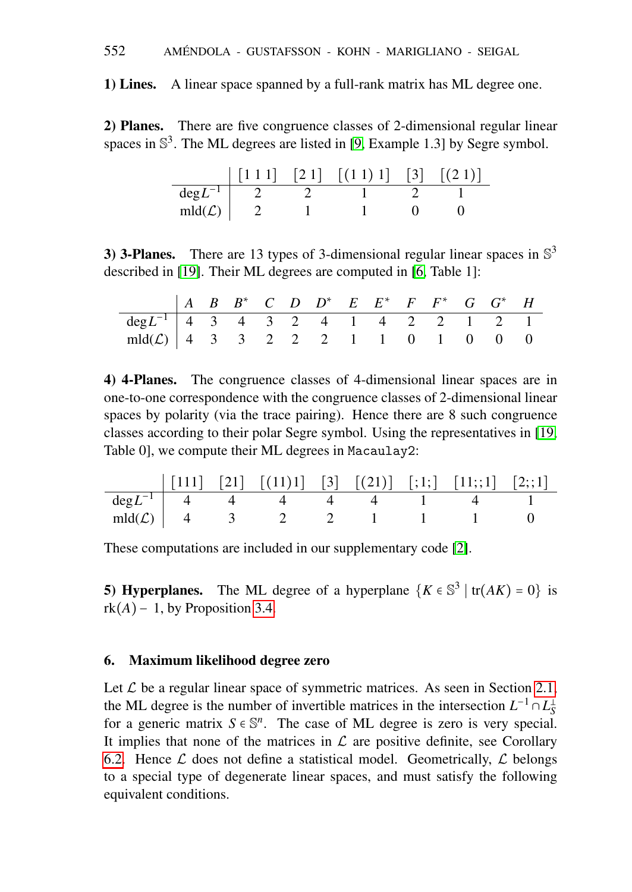### 552 AMENDOLA - GUSTAFSSON - KOHN - MARIGLIANO - SEIGAL ´

1) Lines. A linear space spanned by a full-rank matrix has ML degree one.

2) Planes. There are five congruence classes of 2-dimensional regular linear spaces in  $\mathbb{S}^3$ . The ML degrees are listed in [\[9,](#page-21-0) Example 1.3] by Segre symbol.

|                    |  | $\begin{bmatrix} 1 & 1 & 1 \end{bmatrix}$ $\begin{bmatrix} 2 & 1 \end{bmatrix}$ $\begin{bmatrix} (1 & 1) & 1 \end{bmatrix}$ $\begin{bmatrix} 3 \end{bmatrix}$ $\begin{bmatrix} (2 & 1) \end{bmatrix}$ |  |
|--------------------|--|-------------------------------------------------------------------------------------------------------------------------------------------------------------------------------------------------------|--|
| $deg L^{-1}$       |  |                                                                                                                                                                                                       |  |
| $mld(\mathcal{L})$ |  |                                                                                                                                                                                                       |  |

3) 3-Planes. There are 13 types of 3-dimensional regular linear spaces in  $\mathbb{S}^3$ described in [\[19\]](#page-22-8). Their ML degrees are computed in [\[6,](#page-21-7) Table 1]:

|                                                   |  |  | $A$ B B* C D D* E E* F F* G G* H |  |  |  |  |
|---------------------------------------------------|--|--|----------------------------------|--|--|--|--|
| $\frac{1}{\deg L^{-1}}$ 4 3 4 3 2 4 1 4 2 2 1 2 1 |  |  |                                  |  |  |  |  |
| $mld(\mathcal{L})$ 4 3 3 2 2 2 1 1 0 1 0 0 0      |  |  |                                  |  |  |  |  |

4) 4-Planes. The congruence classes of 4-dimensional linear spaces are in one-to-one correspondence with the congruence classes of 2-dimensional linear spaces by polarity (via the trace pairing). Hence there are 8 such congruence classes according to their polar Segre symbol. Using the representatives in [\[19,](#page-22-8) Table 0], we compute their ML degrees in Macaulay2:

|  | $\begin{bmatrix} 1111 \\ 21 \end{bmatrix}$ $\begin{bmatrix} 21 \\ 11 \end{bmatrix}$ $\begin{bmatrix} 111 \\ 3 \end{bmatrix}$ $\begin{bmatrix} 21 \\ 21 \end{bmatrix}$ $\begin{bmatrix} 11 \\ 11 \end{bmatrix}$ $\begin{bmatrix} 11 \\ 2 \end{bmatrix}$ $\begin{bmatrix} 2 \\ 1 \end{bmatrix}$ |  |  |  |
|--|-----------------------------------------------------------------------------------------------------------------------------------------------------------------------------------------------------------------------------------------------------------------------------------------------|--|--|--|
|  | $deg L^{-1}$ 4 4 4 4 4 1                                                                                                                                                                                                                                                                      |  |  |  |
|  | $mld(\mathcal{L})$ 4 3 2 2                                                                                                                                                                                                                                                                    |  |  |  |

These computations are included in our supplementary code [\[2\]](#page-21-8).

**5) Hyperplanes.** The ML degree of a hyperplane  $\{K \in \mathbb{S}^3 \mid \text{tr}(AK) = 0\}$  is rk $(A)$ − 1, by Proposition [3.4.](#page-9-0)

### <span id="page-17-0"></span>6. Maximum likelihood degree zero

Let  $\mathcal L$  be a regular linear space of symmetric matrices. As seen in Section [2.1,](#page-2-1) the ML degree is the number of invertible matrices in the intersection  $L^{-1} \cap L_S^{\perp}$ for a generic matrix  $S \in \mathbb{S}^n$ . The case of ML degree is zero is very special. It implies that none of the matrices in  $\mathcal L$  are positive definite, see Corollary [6.2.](#page-18-1) Hence  $\mathcal L$  does not define a statistical model. Geometrically,  $\mathcal L$  belongs to a special type of degenerate linear spaces, and must satisfy the following equivalent conditions.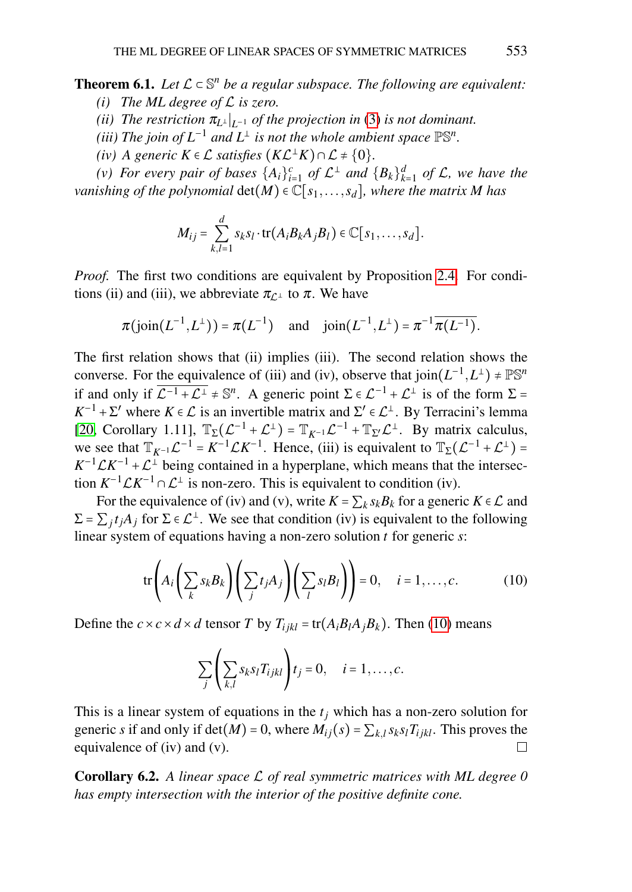<span id="page-18-0"></span>**Theorem 6.1.** Let  $\mathcal{L} \subset \mathbb{S}^n$  be a regular subspace. The following are equivalent:

- *(i) The ML degree of* L *is zero.*
- *(ii)* The restriction  $\pi_{L^{\perp}}|_{L^{-1}}$  of the projection in [\(3\)](#page-2-2) is not dominant.
- (*iii*) The join of  $L^{-1}$  and  $L^{\perp}$  is not the whole ambient space  $\mathbb{PS}^n$ .
- *(iv) A generic*  $K \in \mathcal{L}$  *satisfies*  $(K\mathcal{L}^{\perp}K) \cap \mathcal{L} \neq \{0\}.$

*(v)* For every pair of bases  $\{A_i\}_{i=1}^c$  of  $\mathcal{L}^{\perp}$  and  $\{B_k\}_{k=1}^d$  of  $\mathcal{L}$ , we have the *vanishing of the polynomial*  $det(M) \in \mathbb{C}[s_1,\ldots,s_d]$ *, where the matrix M has* 

$$
M_{ij} = \sum_{k,l=1}^d s_k s_l \cdot \text{tr}(A_i B_k A_j B_l) \in \mathbb{C}[s_1,\ldots,s_d].
$$

*Proof.* The first two conditions are equivalent by Proposition [2.4.](#page-3-2) For conditions (ii) and (iii), we abbreviate  $\pi_{\mathcal{L}^{\perp}}$  to  $\pi$ . We have

$$
\pi(j\text{oin}(L^{-1}, L^{\perp})) = \pi(L^{-1})
$$
 and  $j\text{oin}(L^{-1}, L^{\perp}) = \pi^{-1}\overline{\pi(L^{-1})}$ .

The first relation shows that (ii) implies (iii). The second relation shows the converse. For the equivalence of (iii) and (iv), observe that  $\text{join}(L^{-1}, L^{\perp}) \neq \mathbb{PS}^n$ if and only if  $\overline{\mathcal{L}^{-1} + \mathcal{L}^{\perp}} \neq \mathbb{S}^n$ . A generic point  $\Sigma \in \mathcal{L}^{-1} + \mathcal{L}^{\perp}$  is of the form  $\Sigma =$  $K^{-1} + \Sigma'$  where  $K \in \mathcal{L}$  is an invertible matrix and  $\Sigma' \in \mathcal{L}^{\perp}$ . By Terracini's lemma [\[20,](#page-22-4) Corollary 1.11],  $\mathbb{T}_{\Sigma}(\mathcal{L}^{-1} + \mathcal{L}^{\perp}) = \mathbb{T}_{K^{-1}}\mathcal{L}^{-1} + \mathbb{T}_{\Sigma'}\mathcal{L}^{\perp}$ . By matrix calculus, we see that  $\mathbb{T}_{K-1}\mathcal{L}^{-1} = K^{-1}\mathcal{L}K^{-1}$ . Hence, (iii) is equivalent to  $\mathbb{T}_{\Sigma}(\mathcal{L}^{-1} + \mathcal{L}^{\perp}) =$  $K^{-1} \mathcal{L} K^{-1} + \mathcal{L}^{\perp}$  being contained in a hyperplane, which means that the intersection  $K^{-1} \mathcal{L} K^{-1} \cap \mathcal{L}^{\perp}$  is non-zero. This is equivalent to condition (iv).

For the equivalence of (iv) and (v), write  $K = \sum_k s_k B_k$  for a generic  $K \in \mathcal{L}$  and  $\Sigma = \sum_j t_j A_j$  for  $\Sigma \in \mathcal{L}^\perp$ . We see that condition (iv) is equivalent to the following linear system of equations having a non-zero solution *t* for generic *s*:

<span id="page-18-2"></span>
$$
\text{tr}\left(A_i\left(\sum_k s_k B_k\right)\left(\sum_j t_j A_j\right)\left(\sum_l s_l B_l\right)\right) = 0, \quad i = 1, \dots, c. \tag{10}
$$

Define the  $c \times c \times d \times d$  tensor *T* by  $T_{ijkl} = \text{tr}(A_i B_l A_j B_k)$ . Then [\(10\)](#page-18-2) means

$$
\sum_{j}\left(\sum_{k,l}s_{k}s_{l}T_{ijkl}\right)t_{j}=0, \quad i=1,\ldots,c.
$$

This is a linear system of equations in the *t<sup>j</sup>* which has a non-zero solution for generic *s* if and only if  $\det(M) = 0$ , where  $M_{ij}(s) = \sum_{k,l} s_k s_l T_{ijkl}$ . This proves the equivalence of (iv) and (v).  $\Box$ 

<span id="page-18-1"></span>Corollary 6.2. *A linear space* L *of real symmetric matrices with ML degree 0 has empty intersection with the interior of the positive definite cone.*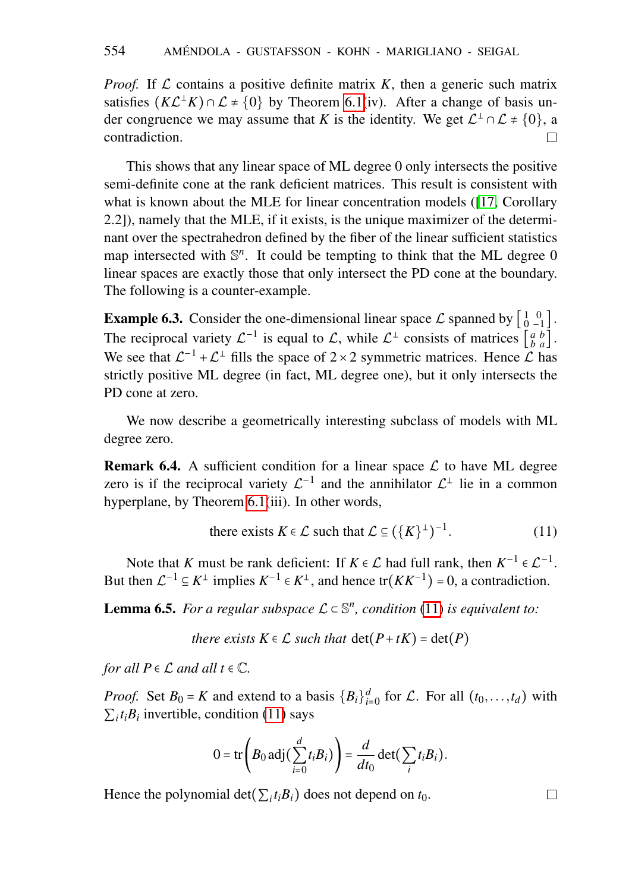*Proof.* If  $\mathcal L$  contains a positive definite matrix  $K$ , then a generic such matrix satisfies  $(K\mathcal{L}^{\perp} K) \cap \mathcal{L} \neq \{0\}$  by Theorem [6.1\(](#page-18-0)iv). After a change of basis under congruence we may assume that *K* is the identity. We get  $\mathcal{L}^{\perp} \cap \mathcal{L} \neq \{0\}$ , a contradiction.  $\Box$ 

This shows that any linear space of ML degree 0 only intersects the positive semi-definite cone at the rank deficient matrices. This result is consistent with what is known about the MLE for linear concentration models ([\[17,](#page-22-0) Corollary 2.2]), namely that the MLE, if it exists, is the unique maximizer of the determinant over the spectrahedron defined by the fiber of the linear sufficient statistics map intersected with  $\mathbb{S}^n$ . It could be tempting to think that the ML degree 0 linear spaces are exactly those that only intersect the PD cone at the boundary. The following is a counter-example.

**Example 6.3.** Consider the one-dimensional linear space  $\mathcal{L}$  spanned by  $\begin{bmatrix} 1 & 0 \\ 0 & -1 \end{bmatrix}$ . The reciprocal variety  $\mathcal{L}^{-1}$  is equal to  $\mathcal{L}$ , while  $\mathcal{L}^{\perp}$  consists of matrices  $\begin{bmatrix} a & b \\ b & a \end{bmatrix}$ . We see that  $\mathcal{L}^{-1} + \mathcal{L}^{\perp}$  fills the space of 2 × 2 symmetric matrices. Hence  $\mathcal{L}$  has strictly positive ML degree (in fact, ML degree one), but it only intersects the PD cone at zero.

We now describe a geometrically interesting subclass of models with ML degree zero.

<span id="page-19-1"></span>**Remark 6.4.** A sufficient condition for a linear space  $\mathcal{L}$  to have ML degree zero is if the reciprocal variety  $\mathcal{L}^{-1}$  and the annihilator  $\mathcal{L}^{\perp}$  lie in a common hyperplane, by Theorem [6.1\(](#page-18-0)iii). In other words,

there exists 
$$
K \in \mathcal{L}
$$
 such that  $\mathcal{L} \subseteq (\{K\}^{\perp})^{-1}$ . (11)

Note that *K* must be rank deficient: If  $K \in \mathcal{L}$  had full rank, then  $K^{-1} \in \mathcal{L}^{-1}$ . But then  $\mathcal{L}^{-1} \subseteq K^{\perp}$  implies  $K^{-1} \in K^{\perp}$ , and hence tr $(KK^{-1}) = 0$ , a contradiction.

<span id="page-19-2"></span>**Lemma 6.5.** For a regular subspace  $\mathcal{L} \subset \mathbb{S}^n$ , condition [\(11\)](#page-19-0) is equivalent to:

*there exists*  $K \in \mathcal{L}$  *such that*  $\det(P + tK) = \det(P)$ 

*for all*  $P \in \mathcal{L}$  *and all*  $t \in \mathbb{C}$ *.* 

*Proof.* Set  $B_0 = K$  and extend to a basis  ${B_i}_{i=0}^d$  for  $\mathcal{L}$ . For all  $(t_0, \ldots, t_d)$  with  $\sum_i t_i B_i$  invertible, condition [\(11\)](#page-19-0) says

$$
0 = \text{tr}\left(B_0 \,\text{adj}\left(\sum_{i=0}^d t_i B_i\right)\right) = \frac{d}{dt_0} \det\left(\sum_i t_i B_i\right).
$$

Hence the polynomial det( $\sum_i t_i B_i$ ) does not depend on  $t_0$ .

<span id="page-19-0"></span> $\Box$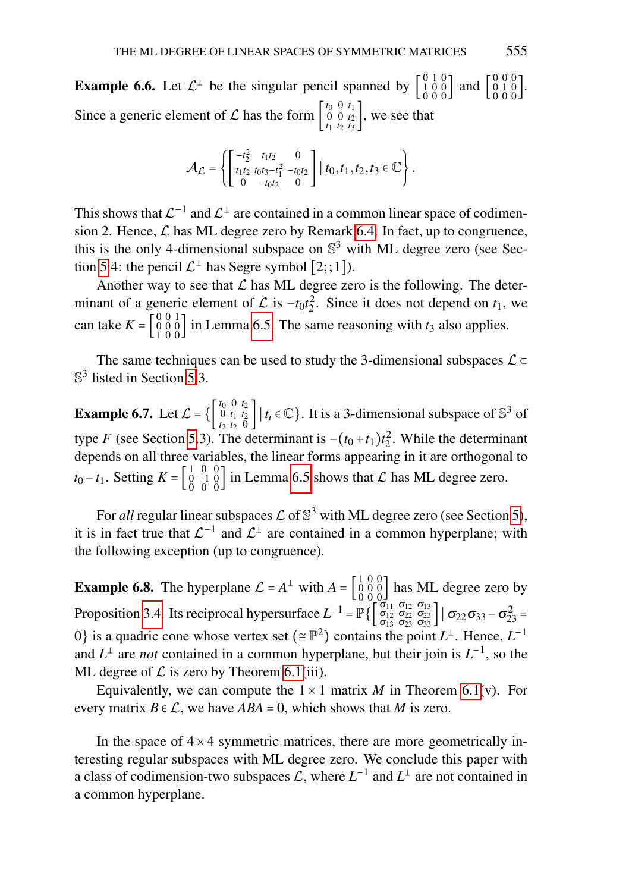**Example 6.6.** Let  $\mathcal{L}^{\perp}$  be the singular pencil spanned by  $\begin{bmatrix} 0 & 1 & 0 \\ 1 & 0 & 0 \\ 0 & 0 & 0 \end{bmatrix}$  and  $\begin{bmatrix} 0 & 0 & 0 \\ 0 & 1 & 0 \\ 0 & 0 & 0 \end{bmatrix}$ . Since a generic element of  $\mathcal L$  has the form  $\begin{bmatrix} t_0 & 0 & t_1 \\ 0 & 0 & t_2 \end{bmatrix}$  $\begin{bmatrix} 0 & 0 & t_2 \\ t_1 & t_2 & t_3 \end{bmatrix}$ , we see that

$$
\mathcal{A}_{\mathcal{L}} = \left\{ \begin{bmatrix} -t_2^2 & t_1t_2 & 0 \\ t_1t_2 & t_0t_3 - t_1^2 & -t_0t_2 \\ 0 & -t_0t_2 & 0 \end{bmatrix} \middle| t_0, t_1, t_2, t_3 \in \mathbb{C} \right\}.
$$

This shows that  $\mathcal{L}^{-1}$  and  $\mathcal{L}^{\perp}$  are contained in a common linear space of codimension 2. Hence,  $\mathcal L$  has ML degree zero by Remark [6.4.](#page-19-1) In fact, up to congruence, this is the only 4-dimensional subspace on  $\mathbb{S}^3$  with ML degree zero (see Sec-tion [5.](#page-16-0)4: the pencil  $\mathcal{L}^{\perp}$  has Segre symbol  $[2;;1]$ ).

Another way to see that  $\mathcal L$  has ML degree zero is the following. The determinant of a generic element of  $\mathcal L$  is  $-t_0t_2^2$ . Since it does not depend on  $t_1$ , we can take  $K = \begin{bmatrix} 0 & 0 & 1 \\ 0 & 0 & 0 \\ 1 & 0 & 0 \end{bmatrix}$  in Lemma [6.5.](#page-19-2) The same reasoning with  $t_3$  also applies.

The same techniques can be used to study the 3-dimensional subspaces  $\mathcal{L} \subset$ S<sup>3</sup> listed in Section [5.](#page-16-0)3.

**Example 6.7.** Let  $\mathcal{L} = \left\{ \begin{bmatrix} t_0 & 0 & t_2 \\ 0 & t_1 & t_2 \\ 0 & 0 & 0 \end{bmatrix} \right\}$  $\begin{bmatrix} 0 & t_1 & t_2 \\ t_1 & t_2 & 0 \end{bmatrix}$  |  $t_i \in \mathbb{C}$ }. It is a 3-dimensional subspace of  $\mathbb{S}^3$  of type *F* (see Section [5.](#page-16-0)3). The determinant is  $-(t_0 + t_1)t_2^2$ . While the determinant depends on all three variables, the linear forms appearing in it are orthogonal to *t*<sub>0</sub> − *t*<sub>1</sub>. Setting *K* =  $\begin{bmatrix} 1 & 0 & 0 \\ 0 & -1 & 0 \\ 0 & 0 & 0 \end{bmatrix}$  in Lemma [6.5](#page-19-2) shows that *L* has ML degree zero.

For *all* regular linear subspaces  $\mathcal L$  of  $\mathbb S^3$  with ML degree zero (see Section [5\)](#page-16-0), it is in fact true that  $\mathcal{L}^{-1}$  and  $\mathcal{L}^{\perp}$  are contained in a common hyperplane; with the following exception (up to congruence).

**Example 6.8.** The hyperplane  $\mathcal{L} = A^{\perp}$  with  $A = \begin{bmatrix} 1 & 0 & 0 \\ 0 & 0 & 0 \\ 0 & 0 & 0 \end{bmatrix}$  has ML degree zero by Proposition [3.4.](#page-9-0) Its reciprocal hypersurface  $L^{-1} = \mathbb{P}\left\{ \begin{bmatrix} \sigma_{11} & \sigma_{12} & \sigma_{13} \\ \sigma_{12} & \sigma_{22} & \sigma_{23} \\ \sigma_{13} & \sigma_{23} & \sigma_{33} \end{bmatrix} \middle| \sigma_{22}\sigma_{33} - \sigma_{23}^2 = 0\right\}$ 0} is a quadric cone whose vertex set ( $\subseteq \mathbb{P}^2$ ) contains the point  $L^{\perp}$ . Hence,  $L^{-1}$ and  $L^{\perp}$  are *not* contained in a common hyperplane, but their join is  $L^{-1}$ , so the ML degree of  $\mathcal L$  is zero by Theorem [6.1\(](#page-18-0)iii).

Equivalently, we can compute the  $1 \times 1$  matrix *M* in Theorem [6.1\(](#page-18-0)v). For every matrix  $B \in \mathcal{L}$ , we have  $ABA = 0$ , which shows that *M* is zero.

In the space of  $4 \times 4$  symmetric matrices, there are more geometrically interesting regular subspaces with ML degree zero. We conclude this paper with a class of codimension-two subspaces  $\mathcal{L}$ , where  $L^{-1}$  and  $L^{\perp}$  are not contained in a common hyperplane.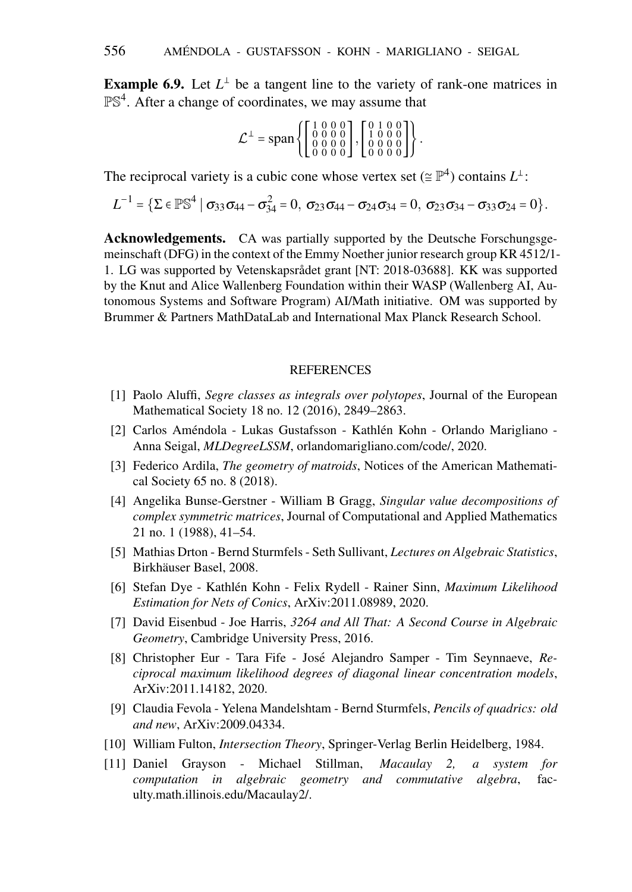**Example 6.9.** Let  $L^{\perp}$  be a tangent line to the variety of rank-one matrices in  $\mathbb{PS}^4$ . After a change of coordinates, we may assume that

$$
\mathcal{L}^{\perp} = \text{span}\left\{ \begin{bmatrix} 1 & 0 & 0 & 0 \\ 0 & 0 & 0 & 0 \\ 0 & 0 & 0 & 0 \\ 0 & 0 & 0 & 0 \end{bmatrix}, \begin{bmatrix} 0 & 1 & 0 & 0 \\ 1 & 0 & 0 & 0 \\ 0 & 0 & 0 & 0 \\ 0 & 0 & 0 & 0 \end{bmatrix} \right\}.
$$

The reciprocal variety is a cubic cone whose vertex set ( $\cong \mathbb{P}^4$ ) contains  $L^{\perp}$ :

$$
L^{-1} = \left\{ \Sigma \in \mathbb{P} \mathbb{S}^4 \mid \sigma_{33} \sigma_{44} - \sigma_{34}^2 = 0, \ \sigma_{23} \sigma_{44} - \sigma_{24} \sigma_{34} = 0, \ \sigma_{23} \sigma_{34} - \sigma_{33} \sigma_{24} = 0 \right\}.
$$

Acknowledgements. CA was partially supported by the Deutsche Forschungsgemeinschaft (DFG) in the context of the Emmy Noether junior research group KR 4512/1- 1. LG was supported by Vetenskapsrådet grant [NT: 2018-03688]. KK was supported by the Knut and Alice Wallenberg Foundation within their WASP (Wallenberg AI, Autonomous Systems and Software Program) AI/Math initiative. OM was supported by Brummer & Partners MathDataLab and International Max Planck Research School.

#### REFERENCES

- <span id="page-21-10"></span>[1] Paolo Aluffi, *Segre classes as integrals over polytopes*, Journal of the European Mathematical Society 18 no. 12 (2016), 2849–2863.
- <span id="page-21-8"></span>[2] Carlos Améndola - Lukas Gustafsson - Kathlén Kohn - Orlando Marigliano -Anna Seigal, *MLDegreeLSSM*, orlandomarigliano.com/code/, 2020.
- <span id="page-21-4"></span>[3] Federico Ardila, *The geometry of matroids*, Notices of the American Mathematical Society 65 no. 8 (2018).
- <span id="page-21-2"></span>[4] Angelika Bunse-Gerstner - William B Gragg, *Singular value decompositions of complex symmetric matrices*, Journal of Computational and Applied Mathematics 21 no. 1 (1988), 41–54.
- <span id="page-21-9"></span>[5] Mathias Drton - Bernd Sturmfels - Seth Sullivant, *Lectures on Algebraic Statistics*, Birkhäuser Basel, 2008.
- <span id="page-21-7"></span>[6] Stefan Dye - Kathlen Kohn - Felix Rydell - Rainer Sinn, ´ *Maximum Likelihood Estimation for Nets of Conics*, ArXiv:2011.08989, 2020.
- <span id="page-21-1"></span>[7] David Eisenbud - Joe Harris, *3264 and All That: A Second Course in Algebraic Geometry*, Cambridge University Press, 2016.
- <span id="page-21-3"></span>[8] Christopher Eur - Tara Fife - José Alejandro Samper - Tim Seynnaeve, Re*ciprocal maximum likelihood degrees of diagonal linear concentration models*, ArXiv:2011.14182, 2020.
- <span id="page-21-0"></span>[9] Claudia Fevola - Yelena Mandelshtam - Bernd Sturmfels, *Pencils of quadrics: old and new*, ArXiv:2009.04334.
- <span id="page-21-5"></span>[10] William Fulton, *Intersection Theory*, Springer-Verlag Berlin Heidelberg, 1984.
- <span id="page-21-6"></span>[11] Daniel Grayson - Michael Stillman, *Macaulay 2, a system for computation in algebraic geometry and commutative algebra*, faculty.math.illinois.edu/Macaulay2/.